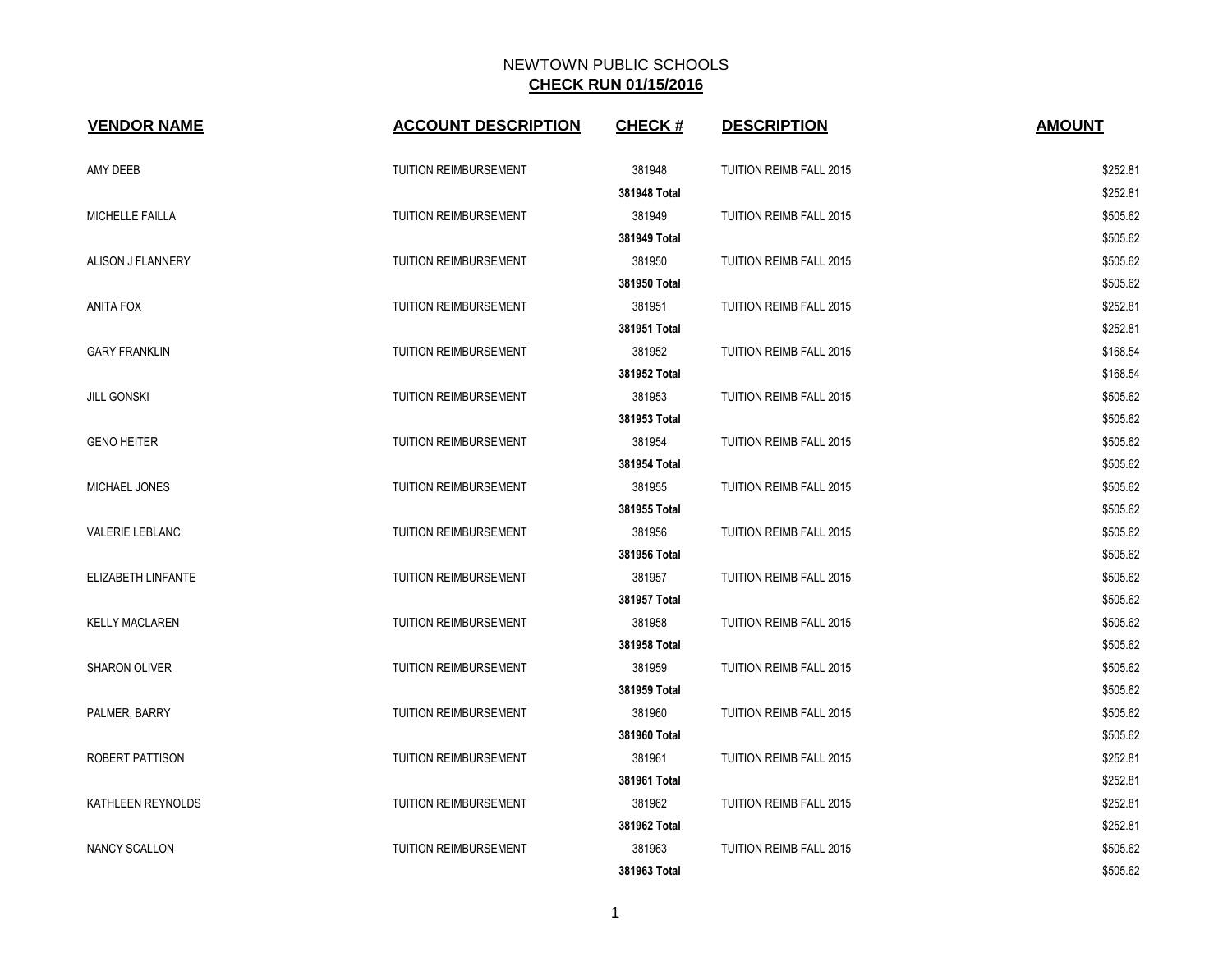| <b>VENDOR NAME</b>     | <b>ACCOUNT DESCRIPTION</b>   | <b>CHECK#</b> | <b>DESCRIPTION</b>             | <b>AMOUNT</b> |
|------------------------|------------------------------|---------------|--------------------------------|---------------|
| AMY DEEB               | <b>TUITION REIMBURSEMENT</b> | 381948        | TUITION REIMB FALL 2015        | \$252.81      |
|                        |                              | 381948 Total  |                                | \$252.81      |
| <b>MICHELLE FAILLA</b> | TUITION REIMBURSEMENT        | 381949        | <b>TUITION REIMB FALL 2015</b> | \$505.62      |
|                        |                              | 381949 Total  |                                | \$505.62      |
| ALISON J FLANNERY      | <b>TUITION REIMBURSEMENT</b> | 381950        | TUITION REIMB FALL 2015        | \$505.62      |
|                        |                              | 381950 Total  |                                | \$505.62      |
| <b>ANITA FOX</b>       | <b>TUITION REIMBURSEMENT</b> | 381951        | <b>TUITION REIMB FALL 2015</b> | \$252.81      |
|                        |                              | 381951 Total  |                                | \$252.81      |
| <b>GARY FRANKLIN</b>   | <b>TUITION REIMBURSEMENT</b> | 381952        | TUITION REIMB FALL 2015        | \$168.54      |
|                        |                              | 381952 Total  |                                | \$168.54      |
| <b>JILL GONSKI</b>     | TUITION REIMBURSEMENT        | 381953        | <b>TUITION REIMB FALL 2015</b> | \$505.62      |
|                        |                              | 381953 Total  |                                | \$505.62      |
| <b>GENO HEITER</b>     | TUITION REIMBURSEMENT        | 381954        | TUITION REIMB FALL 2015        | \$505.62      |
|                        |                              | 381954 Total  |                                | \$505.62      |
| MICHAEL JONES          | <b>TUITION REIMBURSEMENT</b> | 381955        | TUITION REIMB FALL 2015        | \$505.62      |
|                        |                              | 381955 Total  |                                | \$505.62      |
| <b>VALERIE LEBLANC</b> | <b>TUITION REIMBURSEMENT</b> | 381956        | <b>TUITION REIMB FALL 2015</b> | \$505.62      |
|                        |                              | 381956 Total  |                                | \$505.62      |
| ELIZABETH LINFANTE     | <b>TUITION REIMBURSEMENT</b> | 381957        | TUITION REIMB FALL 2015        | \$505.62      |
|                        |                              | 381957 Total  |                                | \$505.62      |
| <b>KELLY MACLAREN</b>  | TUITION REIMBURSEMENT        | 381958        | <b>TUITION REIMB FALL 2015</b> | \$505.62      |
|                        |                              | 381958 Total  |                                | \$505.62      |
| <b>SHARON OLIVER</b>   | TUITION REIMBURSEMENT        | 381959        | TUITION REIMB FALL 2015        | \$505.62      |
|                        |                              | 381959 Total  |                                | \$505.62      |
| PALMER, BARRY          | TUITION REIMBURSEMENT        | 381960        | TUITION REIMB FALL 2015        | \$505.62      |
|                        |                              | 381960 Total  |                                | \$505.62      |
| ROBERT PATTISON        | TUITION REIMBURSEMENT        | 381961        | TUITION REIMB FALL 2015        | \$252.81      |
|                        |                              | 381961 Total  |                                | \$252.81      |
| KATHLEEN REYNOLDS      | <b>TUITION REIMBURSEMENT</b> | 381962        | <b>TUITION REIMB FALL 2015</b> | \$252.81      |
|                        |                              | 381962 Total  |                                | \$252.81      |
| NANCY SCALLON          | <b>TUITION REIMBURSEMENT</b> | 381963        | <b>TUITION REIMB FALL 2015</b> | \$505.62      |
|                        |                              | 381963 Total  |                                | \$505.62      |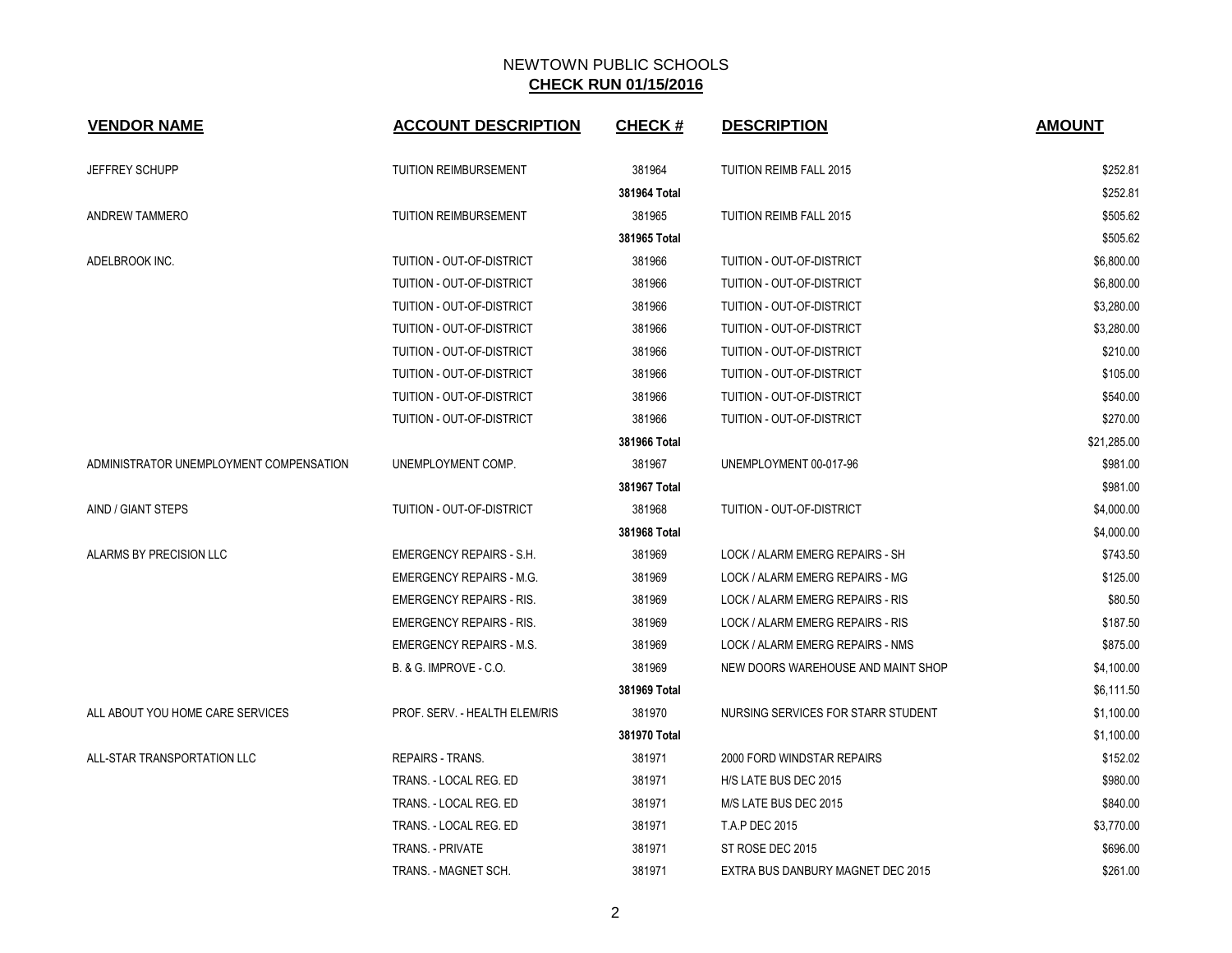| <b>VENDOR NAME</b>                      | <b>ACCOUNT DESCRIPTION</b>        | <b>CHECK#</b> | <b>DESCRIPTION</b>                 | <b>AMOUNT</b> |
|-----------------------------------------|-----------------------------------|---------------|------------------------------------|---------------|
| <b>JEFFREY SCHUPP</b>                   | <b>TUITION REIMBURSEMENT</b>      | 381964        | TUITION REIMB FALL 2015            | \$252.81      |
|                                         |                                   | 381964 Total  |                                    | \$252.81      |
| ANDREW TAMMERO                          | <b>TUITION REIMBURSEMENT</b>      | 381965        | <b>TUITION REIMB FALL 2015</b>     | \$505.62      |
|                                         |                                   | 381965 Total  |                                    | \$505.62      |
| ADELBROOK INC.                          | TUITION - OUT-OF-DISTRICT         | 381966        | TUITION - OUT-OF-DISTRICT          | \$6,800.00    |
|                                         | TUITION - OUT-OF-DISTRICT         | 381966        | TUITION - OUT-OF-DISTRICT          | \$6,800.00    |
|                                         | TUITION - OUT-OF-DISTRICT         | 381966        | TUITION - OUT-OF-DISTRICT          | \$3,280.00    |
|                                         | TUITION - OUT-OF-DISTRICT         | 381966        | TUITION - OUT-OF-DISTRICT          | \$3,280.00    |
|                                         | TUITION - OUT-OF-DISTRICT         | 381966        | TUITION - OUT-OF-DISTRICT          | \$210.00      |
|                                         | TUITION - OUT-OF-DISTRICT         | 381966        | TUITION - OUT-OF-DISTRICT          | \$105.00      |
|                                         | TUITION - OUT-OF-DISTRICT         | 381966        | TUITION - OUT-OF-DISTRICT          | \$540.00      |
|                                         | TUITION - OUT-OF-DISTRICT         | 381966        | TUITION - OUT-OF-DISTRICT          | \$270.00      |
|                                         |                                   | 381966 Total  |                                    | \$21,285.00   |
| ADMINISTRATOR UNEMPLOYMENT COMPENSATION | UNEMPLOYMENT COMP.                | 381967        | UNEMPLOYMENT 00-017-96             | \$981.00      |
|                                         |                                   | 381967 Total  |                                    | \$981.00      |
| AIND / GIANT STEPS                      | TUITION - OUT-OF-DISTRICT         | 381968        | TUITION - OUT-OF-DISTRICT          | \$4,000.00    |
|                                         |                                   | 381968 Total  |                                    | \$4,000.00    |
| ALARMS BY PRECISION LLC                 | <b>EMERGENCY REPAIRS - S.H.</b>   | 381969        | LOCK / ALARM EMERG REPAIRS - SH    | \$743.50      |
|                                         | <b>EMERGENCY REPAIRS - M.G.</b>   | 381969        | LOCK / ALARM EMERG REPAIRS - MG    | \$125.00      |
|                                         | <b>EMERGENCY REPAIRS - RIS.</b>   | 381969        | LOCK / ALARM EMERG REPAIRS - RIS   | \$80.50       |
|                                         | <b>EMERGENCY REPAIRS - RIS.</b>   | 381969        | LOCK / ALARM EMERG REPAIRS - RIS   | \$187.50      |
|                                         | <b>EMERGENCY REPAIRS - M.S.</b>   | 381969        | LOCK / ALARM EMERG REPAIRS - NMS   | \$875.00      |
|                                         | <b>B. &amp; G. IMPROVE - C.O.</b> | 381969        | NEW DOORS WAREHOUSE AND MAINT SHOP | \$4,100.00    |
|                                         |                                   | 381969 Total  |                                    | \$6,111.50    |
| ALL ABOUT YOU HOME CARE SERVICES        | PROF. SERV. - HEALTH ELEM/RIS     | 381970        | NURSING SERVICES FOR STARR STUDENT | \$1,100.00    |
|                                         |                                   | 381970 Total  |                                    | \$1,100.00    |
| ALL-STAR TRANSPORTATION LLC             | <b>REPAIRS - TRANS.</b>           | 381971        | 2000 FORD WINDSTAR REPAIRS         | \$152.02      |
|                                         | TRANS. - LOCAL REG. ED            | 381971        | H/S LATE BUS DEC 2015              | \$980.00      |
|                                         | TRANS. - LOCAL REG. ED            | 381971        | M/S LATE BUS DEC 2015              | \$840.00      |
|                                         | TRANS. - LOCAL REG. ED            | 381971        | <b>T.A.P DEC 2015</b>              | \$3,770.00    |
|                                         | TRANS. - PRIVATE                  | 381971        | ST ROSE DEC 2015                   | \$696.00      |
|                                         | TRANS. - MAGNET SCH.              | 381971        | EXTRA BUS DANBURY MAGNET DEC 2015  | \$261.00      |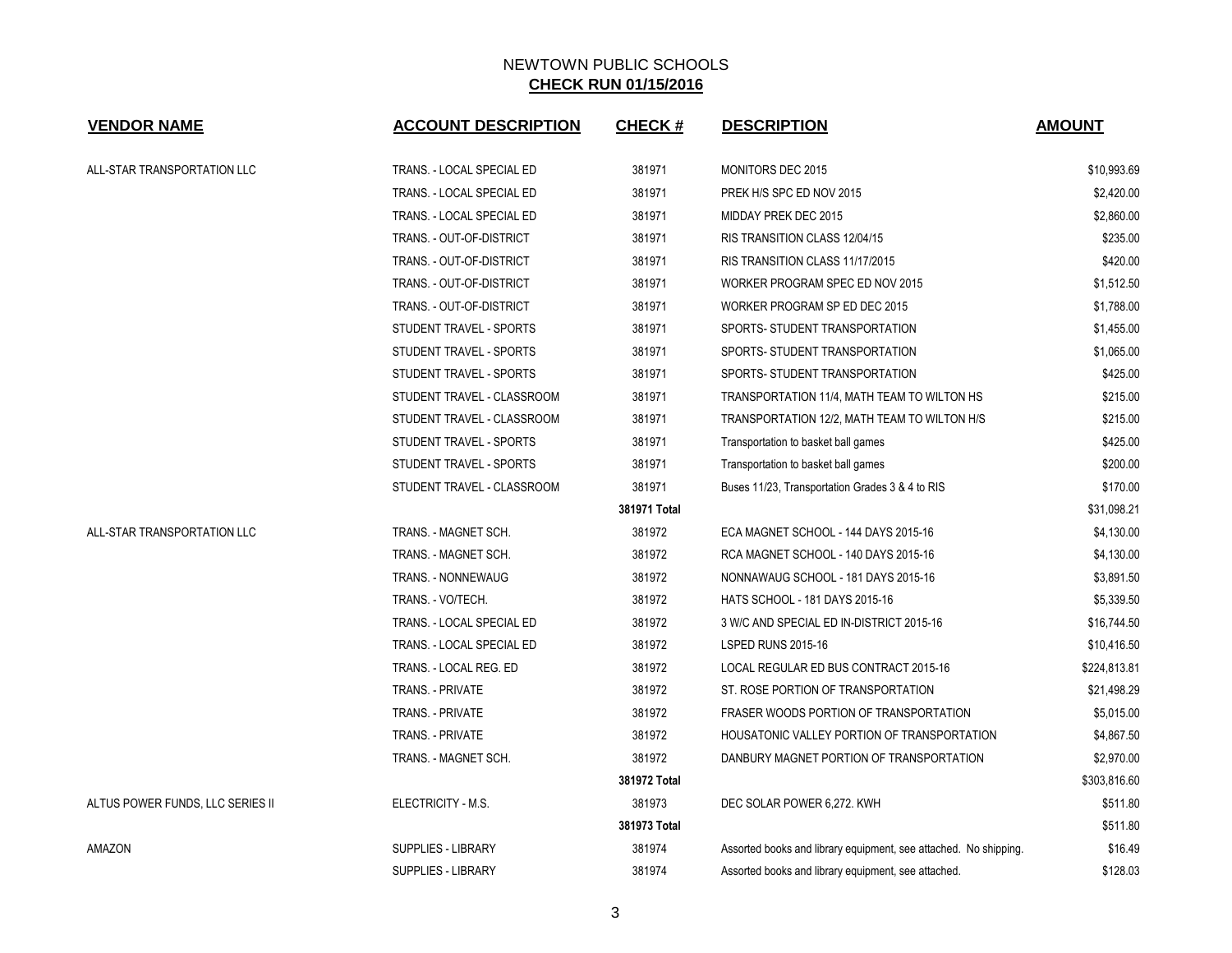| <b>VENDOR NAME</b>               | <b>ACCOUNT DESCRIPTION</b> | <b>CHECK#</b> | <b>DESCRIPTION</b>                                               | <b>AMOUNT</b> |
|----------------------------------|----------------------------|---------------|------------------------------------------------------------------|---------------|
| ALL-STAR TRANSPORTATION LLC      | TRANS. - LOCAL SPECIAL ED  | 381971        | <b>MONITORS DEC 2015</b>                                         | \$10,993.69   |
|                                  | TRANS. - LOCAL SPECIAL ED  | 381971        | PREK H/S SPC ED NOV 2015                                         | \$2,420.00    |
|                                  | TRANS. - LOCAL SPECIAL ED  | 381971        | MIDDAY PREK DEC 2015                                             | \$2,860.00    |
|                                  | TRANS. - OUT-OF-DISTRICT   | 381971        | RIS TRANSITION CLASS 12/04/15                                    | \$235.00      |
|                                  | TRANS. - OUT-OF-DISTRICT   | 381971        | RIS TRANSITION CLASS 11/17/2015                                  | \$420.00      |
|                                  | TRANS. - OUT-OF-DISTRICT   | 381971        | WORKER PROGRAM SPEC ED NOV 2015                                  | \$1,512.50    |
|                                  | TRANS. - OUT-OF-DISTRICT   | 381971        | WORKER PROGRAM SP ED DEC 2015                                    | \$1,788.00    |
|                                  | STUDENT TRAVEL - SPORTS    | 381971        | SPORTS- STUDENT TRANSPORTATION                                   | \$1,455.00    |
|                                  | STUDENT TRAVEL - SPORTS    | 381971        | SPORTS- STUDENT TRANSPORTATION                                   | \$1,065.00    |
|                                  | STUDENT TRAVEL - SPORTS    | 381971        | SPORTS- STUDENT TRANSPORTATION                                   | \$425.00      |
|                                  | STUDENT TRAVEL - CLASSROOM | 381971        | TRANSPORTATION 11/4, MATH TEAM TO WILTON HS                      | \$215.00      |
|                                  | STUDENT TRAVEL - CLASSROOM | 381971        | TRANSPORTATION 12/2, MATH TEAM TO WILTON H/S                     | \$215.00      |
|                                  | STUDENT TRAVEL - SPORTS    | 381971        | Transportation to basket ball games                              | \$425.00      |
|                                  | STUDENT TRAVEL - SPORTS    | 381971        | Transportation to basket ball games                              | \$200.00      |
|                                  | STUDENT TRAVEL - CLASSROOM | 381971        | Buses 11/23, Transportation Grades 3 & 4 to RIS                  | \$170.00      |
|                                  |                            | 381971 Total  |                                                                  | \$31,098.21   |
| ALL-STAR TRANSPORTATION LLC      | TRANS. - MAGNET SCH.       | 381972        | ECA MAGNET SCHOOL - 144 DAYS 2015-16                             | \$4,130.00    |
|                                  | TRANS. - MAGNET SCH.       | 381972        | RCA MAGNET SCHOOL - 140 DAYS 2015-16                             | \$4,130.00    |
|                                  | TRANS. - NONNEWAUG         | 381972        | NONNAWAUG SCHOOL - 181 DAYS 2015-16                              | \$3,891.50    |
|                                  | TRANS. - VO/TECH.          | 381972        | HATS SCHOOL - 181 DAYS 2015-16                                   | \$5,339.50    |
|                                  | TRANS. - LOCAL SPECIAL ED  | 381972        | 3 W/C AND SPECIAL ED IN-DISTRICT 2015-16                         | \$16,744.50   |
|                                  | TRANS. - LOCAL SPECIAL ED  | 381972        | <b>LSPED RUNS 2015-16</b>                                        | \$10,416.50   |
|                                  | TRANS. - LOCAL REG. ED     | 381972        | LOCAL REGULAR ED BUS CONTRACT 2015-16                            | \$224,813.81  |
|                                  | TRANS. - PRIVATE           | 381972        | ST. ROSE PORTION OF TRANSPORTATION                               | \$21,498.29   |
|                                  | TRANS. - PRIVATE           | 381972        | FRASER WOODS PORTION OF TRANSPORTATION                           | \$5,015.00    |
|                                  | TRANS. - PRIVATE           | 381972        | HOUSATONIC VALLEY PORTION OF TRANSPORTATION                      | \$4,867.50    |
|                                  | TRANS. - MAGNET SCH.       | 381972        | DANBURY MAGNET PORTION OF TRANSPORTATION                         | \$2,970.00    |
|                                  |                            | 381972 Total  |                                                                  | \$303,816.60  |
| ALTUS POWER FUNDS, LLC SERIES II | ELECTRICITY - M.S.         | 381973        | DEC SOLAR POWER 6,272. KWH                                       | \$511.80      |
|                                  |                            | 381973 Total  |                                                                  | \$511.80      |
| AMAZON                           | <b>SUPPLIES - LIBRARY</b>  | 381974        | Assorted books and library equipment, see attached. No shipping. | \$16.49       |
|                                  | <b>SUPPLIES - LIBRARY</b>  | 381974        | Assorted books and library equipment, see attached.              | \$128.03      |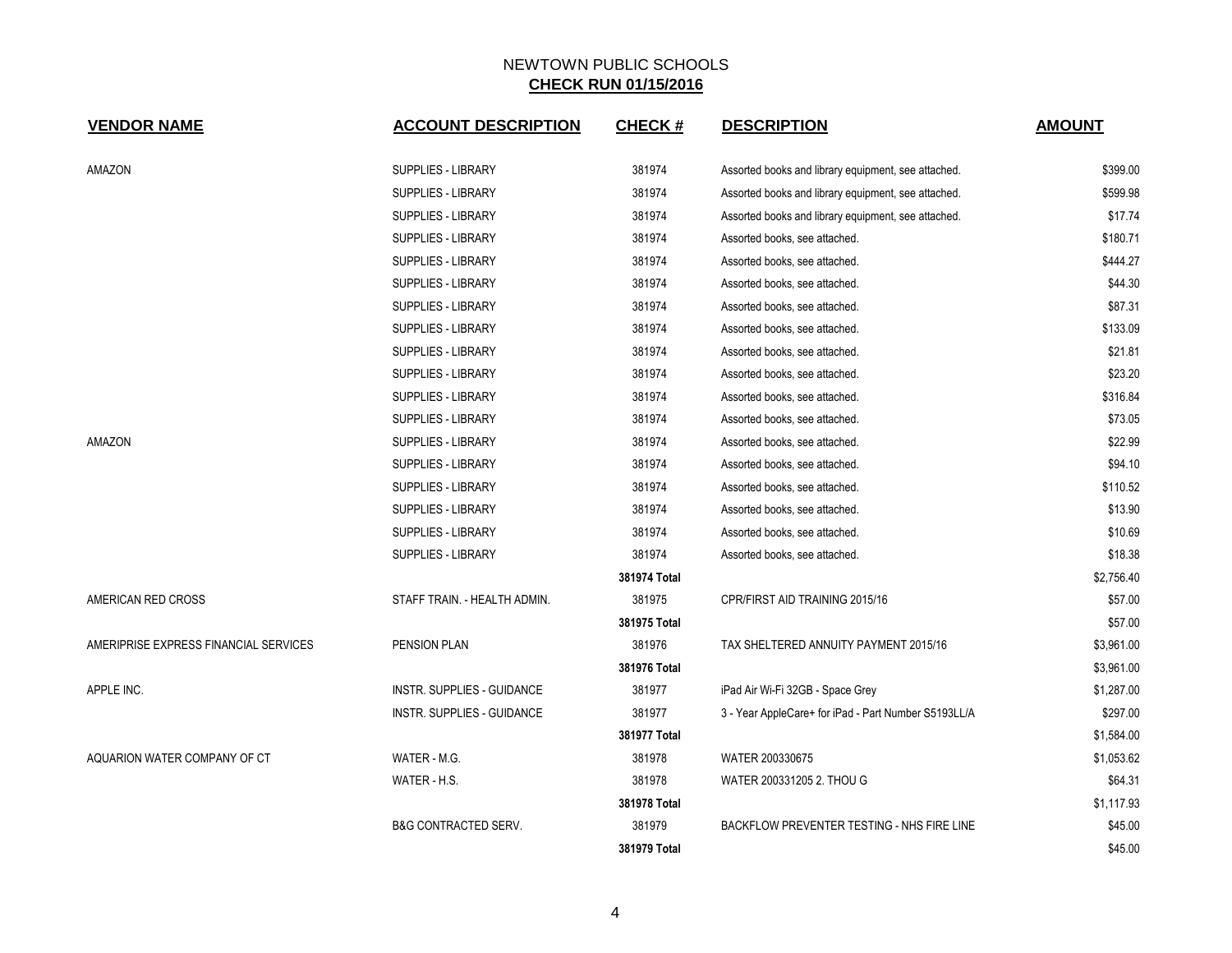| <b>VENDOR NAME</b>                    | <b>ACCOUNT DESCRIPTION</b>      | <b>CHECK#</b> | <b>DESCRIPTION</b>                                   | <b>AMOUNT</b> |
|---------------------------------------|---------------------------------|---------------|------------------------------------------------------|---------------|
| AMAZON                                | SUPPLIES - LIBRARY              | 381974        | Assorted books and library equipment, see attached.  | \$399.00      |
|                                       | SUPPLIES - LIBRARY              | 381974        | Assorted books and library equipment, see attached.  | \$599.98      |
|                                       | SUPPLIES - LIBRARY              | 381974        | Assorted books and library equipment, see attached.  | \$17.74       |
|                                       | SUPPLIES - LIBRARY              | 381974        | Assorted books, see attached.                        | \$180.71      |
|                                       | <b>SUPPLIES - LIBRARY</b>       | 381974        | Assorted books, see attached.                        | \$444.27      |
|                                       | SUPPLIES - LIBRARY              | 381974        | Assorted books, see attached.                        | \$44.30       |
|                                       | SUPPLIES - LIBRARY              | 381974        | Assorted books, see attached.                        | \$87.31       |
|                                       | <b>SUPPLIES - LIBRARY</b>       | 381974        | Assorted books, see attached.                        | \$133.09      |
|                                       | <b>SUPPLIES - LIBRARY</b>       | 381974        | Assorted books, see attached.                        | \$21.81       |
|                                       | SUPPLIES - LIBRARY              | 381974        | Assorted books, see attached.                        | \$23.20       |
|                                       | <b>SUPPLIES - LIBRARY</b>       | 381974        | Assorted books, see attached.                        | \$316.84      |
|                                       | SUPPLIES - LIBRARY              | 381974        | Assorted books, see attached.                        | \$73.05       |
| AMAZON                                | SUPPLIES - LIBRARY              | 381974        | Assorted books, see attached.                        | \$22.99       |
|                                       | SUPPLIES - LIBRARY              | 381974        | Assorted books, see attached.                        | \$94.10       |
|                                       | SUPPLIES - LIBRARY              | 381974        | Assorted books, see attached.                        | \$110.52      |
|                                       | SUPPLIES - LIBRARY              | 381974        | Assorted books, see attached.                        | \$13.90       |
|                                       | SUPPLIES - LIBRARY              | 381974        | Assorted books, see attached.                        | \$10.69       |
|                                       | SUPPLIES - LIBRARY              | 381974        | Assorted books, see attached.                        | \$18.38       |
|                                       |                                 | 381974 Total  |                                                      | \$2,756.40    |
| AMERICAN RED CROSS                    | STAFF TRAIN. - HEALTH ADMIN.    | 381975        | CPR/FIRST AID TRAINING 2015/16                       | \$57.00       |
|                                       |                                 | 381975 Total  |                                                      | \$57.00       |
| AMERIPRISE EXPRESS FINANCIAL SERVICES | PENSION PLAN                    | 381976        | TAX SHELTERED ANNUITY PAYMENT 2015/16                | \$3,961.00    |
|                                       |                                 | 381976 Total  |                                                      | \$3,961.00    |
| APPLE INC.                            | INSTR. SUPPLIES - GUIDANCE      | 381977        | iPad Air Wi-Fi 32GB - Space Grey                     | \$1,287.00    |
|                                       | INSTR. SUPPLIES - GUIDANCE      | 381977        | 3 - Year AppleCare+ for iPad - Part Number S5193LL/A | \$297.00      |
|                                       |                                 | 381977 Total  |                                                      | \$1,584.00    |
| AQUARION WATER COMPANY OF CT          | WATER - M.G.                    | 381978        | WATER 200330675                                      | \$1,053.62    |
|                                       | WATER - H.S.                    | 381978        | WATER 200331205 2. THOU G                            | \$64.31       |
|                                       |                                 | 381978 Total  |                                                      | \$1,117.93    |
|                                       | <b>B&amp;G CONTRACTED SERV.</b> | 381979        | BACKFLOW PREVENTER TESTING - NHS FIRE LINE           | \$45.00       |
|                                       |                                 | 381979 Total  |                                                      | \$45.00       |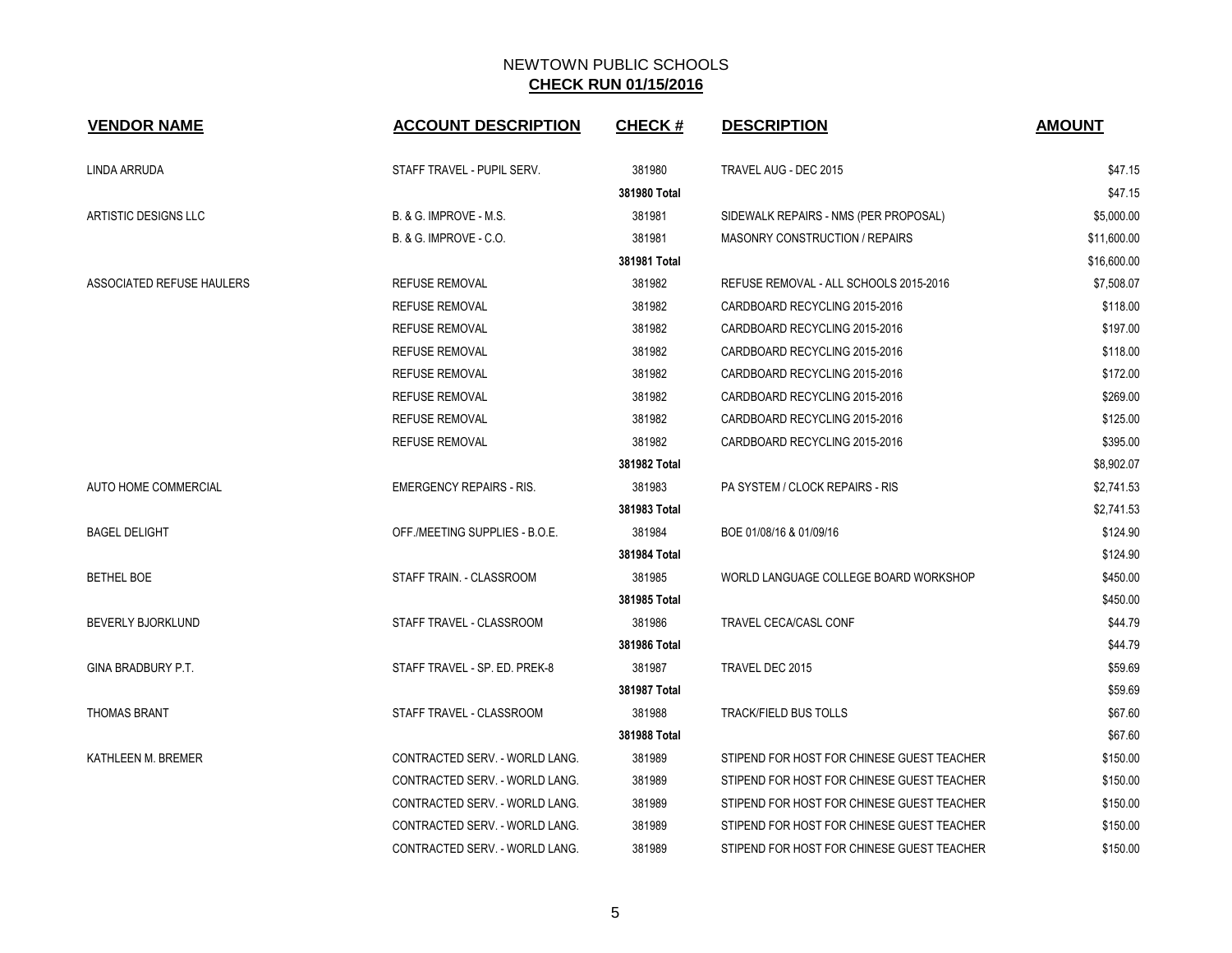| <b>VENDOR NAME</b>        | <b>ACCOUNT DESCRIPTION</b>        | <b>CHECK#</b> | <b>DESCRIPTION</b>                         | <b>AMOUNT</b> |
|---------------------------|-----------------------------------|---------------|--------------------------------------------|---------------|
| LINDA ARRUDA              | STAFF TRAVEL - PUPIL SERV.        | 381980        | TRAVEL AUG - DEC 2015                      | \$47.15       |
|                           |                                   | 381980 Total  |                                            | \$47.15       |
| ARTISTIC DESIGNS LLC      | B. & G. IMPROVE - M.S.            | 381981        | SIDEWALK REPAIRS - NMS (PER PROPOSAL)      | \$5,000.00    |
|                           | <b>B. &amp; G. IMPROVE - C.O.</b> | 381981        | MASONRY CONSTRUCTION / REPAIRS             | \$11,600.00   |
|                           |                                   | 381981 Total  |                                            | \$16,600.00   |
| ASSOCIATED REFUSE HAULERS | <b>REFUSE REMOVAL</b>             | 381982        | REFUSE REMOVAL - ALL SCHOOLS 2015-2016     | \$7,508.07    |
|                           | <b>REFUSE REMOVAL</b>             | 381982        | CARDBOARD RECYCLING 2015-2016              | \$118.00      |
|                           | <b>REFUSE REMOVAL</b>             | 381982        | CARDBOARD RECYCLING 2015-2016              | \$197.00      |
|                           | <b>REFUSE REMOVAL</b>             | 381982        | CARDBOARD RECYCLING 2015-2016              | \$118.00      |
|                           | <b>REFUSE REMOVAL</b>             | 381982        | CARDBOARD RECYCLING 2015-2016              | \$172.00      |
|                           | <b>REFUSE REMOVAL</b>             | 381982        | CARDBOARD RECYCLING 2015-2016              | \$269.00      |
|                           | <b>REFUSE REMOVAL</b>             | 381982        | CARDBOARD RECYCLING 2015-2016              | \$125.00      |
|                           | <b>REFUSE REMOVAL</b>             | 381982        | CARDBOARD RECYCLING 2015-2016              | \$395.00      |
|                           |                                   | 381982 Total  |                                            | \$8,902.07    |
| AUTO HOME COMMERCIAL      | <b>EMERGENCY REPAIRS - RIS.</b>   | 381983        | PA SYSTEM / CLOCK REPAIRS - RIS            | \$2,741.53    |
|                           |                                   | 381983 Total  |                                            | \$2,741.53    |
| <b>BAGEL DELIGHT</b>      | OFF./MEETING SUPPLIES - B.O.E.    | 381984        | BOE 01/08/16 & 01/09/16                    | \$124.90      |
|                           |                                   | 381984 Total  |                                            | \$124.90      |
| <b>BETHEL BOE</b>         | STAFF TRAIN. - CLASSROOM          | 381985        | WORLD LANGUAGE COLLEGE BOARD WORKSHOP      | \$450.00      |
|                           |                                   | 381985 Total  |                                            | \$450.00      |
| <b>BEVERLY BJORKLUND</b>  | STAFF TRAVEL - CLASSROOM          | 381986        | <b>TRAVEL CECA/CASL CONF</b>               | \$44.79       |
|                           |                                   | 381986 Total  |                                            | \$44.79       |
| <b>GINA BRADBURY P.T.</b> | STAFF TRAVEL - SP. ED. PREK-8     | 381987        | TRAVEL DEC 2015                            | \$59.69       |
|                           |                                   | 381987 Total  |                                            | \$59.69       |
| <b>THOMAS BRANT</b>       | STAFF TRAVEL - CLASSROOM          | 381988        | <b>TRACK/FIELD BUS TOLLS</b>               | \$67.60       |
|                           |                                   | 381988 Total  |                                            | \$67.60       |
| KATHLEEN M. BREMER        | CONTRACTED SERV. - WORLD LANG.    | 381989        | STIPEND FOR HOST FOR CHINESE GUEST TEACHER | \$150.00      |
|                           | CONTRACTED SERV. - WORLD LANG.    | 381989        | STIPEND FOR HOST FOR CHINESE GUEST TEACHER | \$150.00      |
|                           | CONTRACTED SERV. - WORLD LANG.    | 381989        | STIPEND FOR HOST FOR CHINESE GUEST TEACHER | \$150.00      |
|                           | CONTRACTED SERV. - WORLD LANG.    | 381989        | STIPEND FOR HOST FOR CHINESE GUEST TEACHER | \$150.00      |
|                           | CONTRACTED SERV. - WORLD LANG.    | 381989        | STIPEND FOR HOST FOR CHINESE GUEST TEACHER | \$150.00      |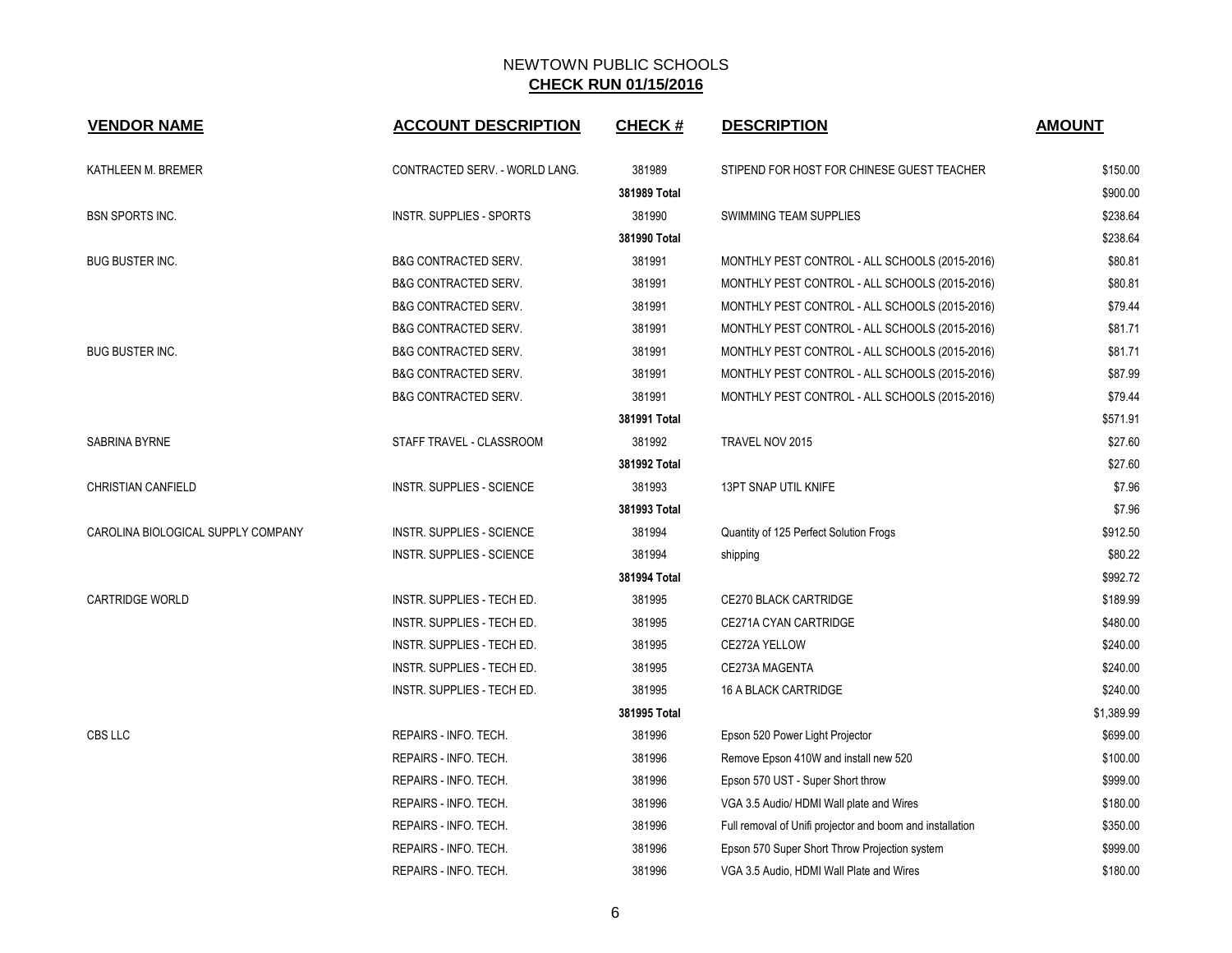| <b>VENDOR NAME</b>                 | <b>ACCOUNT DESCRIPTION</b>       | <b>CHECK#</b> | <b>DESCRIPTION</b>                                        | <b>AMOUNT</b> |
|------------------------------------|----------------------------------|---------------|-----------------------------------------------------------|---------------|
| KATHLEEN M. BREMER                 | CONTRACTED SERV. - WORLD LANG.   | 381989        | STIPEND FOR HOST FOR CHINESE GUEST TEACHER                | \$150.00      |
|                                    |                                  | 381989 Total  |                                                           | \$900.00      |
| <b>BSN SPORTS INC.</b>             | <b>INSTR. SUPPLIES - SPORTS</b>  | 381990        | SWIMMING TEAM SUPPLIES                                    | \$238.64      |
|                                    |                                  | 381990 Total  |                                                           | \$238.64      |
| <b>BUG BUSTER INC.</b>             | <b>B&amp;G CONTRACTED SERV.</b>  | 381991        | MONTHLY PEST CONTROL - ALL SCHOOLS (2015-2016)            | \$80.81       |
|                                    | <b>B&amp;G CONTRACTED SERV.</b>  | 381991        | MONTHLY PEST CONTROL - ALL SCHOOLS (2015-2016)            | \$80.81       |
|                                    | <b>B&amp;G CONTRACTED SERV.</b>  | 381991        | MONTHLY PEST CONTROL - ALL SCHOOLS (2015-2016)            | \$79.44       |
|                                    | <b>B&amp;G CONTRACTED SERV.</b>  | 381991        | MONTHLY PEST CONTROL - ALL SCHOOLS (2015-2016)            | \$81.71       |
| <b>BUG BUSTER INC.</b>             | <b>B&amp;G CONTRACTED SERV.</b>  | 381991        | MONTHLY PEST CONTROL - ALL SCHOOLS (2015-2016)            | \$81.71       |
|                                    | <b>B&amp;G CONTRACTED SERV.</b>  | 381991        | MONTHLY PEST CONTROL - ALL SCHOOLS (2015-2016)            | \$87.99       |
|                                    | <b>B&amp;G CONTRACTED SERV.</b>  | 381991        | MONTHLY PEST CONTROL - ALL SCHOOLS (2015-2016)            | \$79.44       |
|                                    |                                  | 381991 Total  |                                                           | \$571.91      |
| SABRINA BYRNE                      | STAFF TRAVEL - CLASSROOM         | 381992        | TRAVEL NOV 2015                                           | \$27.60       |
|                                    |                                  | 381992 Total  |                                                           | \$27.60       |
| <b>CHRISTIAN CANFIELD</b>          | <b>INSTR. SUPPLIES - SCIENCE</b> | 381993        | 13PT SNAP UTIL KNIFE                                      | \$7.96        |
|                                    |                                  | 381993 Total  |                                                           | \$7.96        |
| CAROLINA BIOLOGICAL SUPPLY COMPANY | <b>INSTR. SUPPLIES - SCIENCE</b> | 381994        | Quantity of 125 Perfect Solution Frogs                    | \$912.50      |
|                                    | <b>INSTR. SUPPLIES - SCIENCE</b> | 381994        | shipping                                                  | \$80.22       |
|                                    |                                  | 381994 Total  |                                                           | \$992.72      |
| <b>CARTRIDGE WORLD</b>             | INSTR. SUPPLIES - TECH ED.       | 381995        | <b>CE270 BLACK CARTRIDGE</b>                              | \$189.99      |
|                                    | INSTR. SUPPLIES - TECH ED.       | 381995        | CE271A CYAN CARTRIDGE                                     | \$480.00      |
|                                    | INSTR. SUPPLIES - TECH ED.       | 381995        | CE272A YELLOW                                             | \$240.00      |
|                                    | INSTR. SUPPLIES - TECH ED.       | 381995        | CE273A MAGENTA                                            | \$240.00      |
|                                    | INSTR. SUPPLIES - TECH ED.       | 381995        | <b>16 A BLACK CARTRIDGE</b>                               | \$240.00      |
|                                    |                                  | 381995 Total  |                                                           | \$1,389.99    |
| CBS LLC                            | REPAIRS - INFO. TECH.            | 381996        | Epson 520 Power Light Projector                           | \$699.00      |
|                                    | REPAIRS - INFO. TECH.            | 381996        | Remove Epson 410W and install new 520                     | \$100.00      |
|                                    | REPAIRS - INFO. TECH.            | 381996        | Epson 570 UST - Super Short throw                         | \$999.00      |
|                                    | REPAIRS - INFO. TECH.            | 381996        | VGA 3.5 Audio/ HDMI Wall plate and Wires                  | \$180.00      |
|                                    | REPAIRS - INFO. TECH.            | 381996        | Full removal of Unifi projector and boom and installation | \$350.00      |
|                                    | REPAIRS - INFO. TECH.            | 381996        | Epson 570 Super Short Throw Projection system             | \$999.00      |
|                                    | REPAIRS - INFO. TECH.            | 381996        | VGA 3.5 Audio, HDMI Wall Plate and Wires                  | \$180.00      |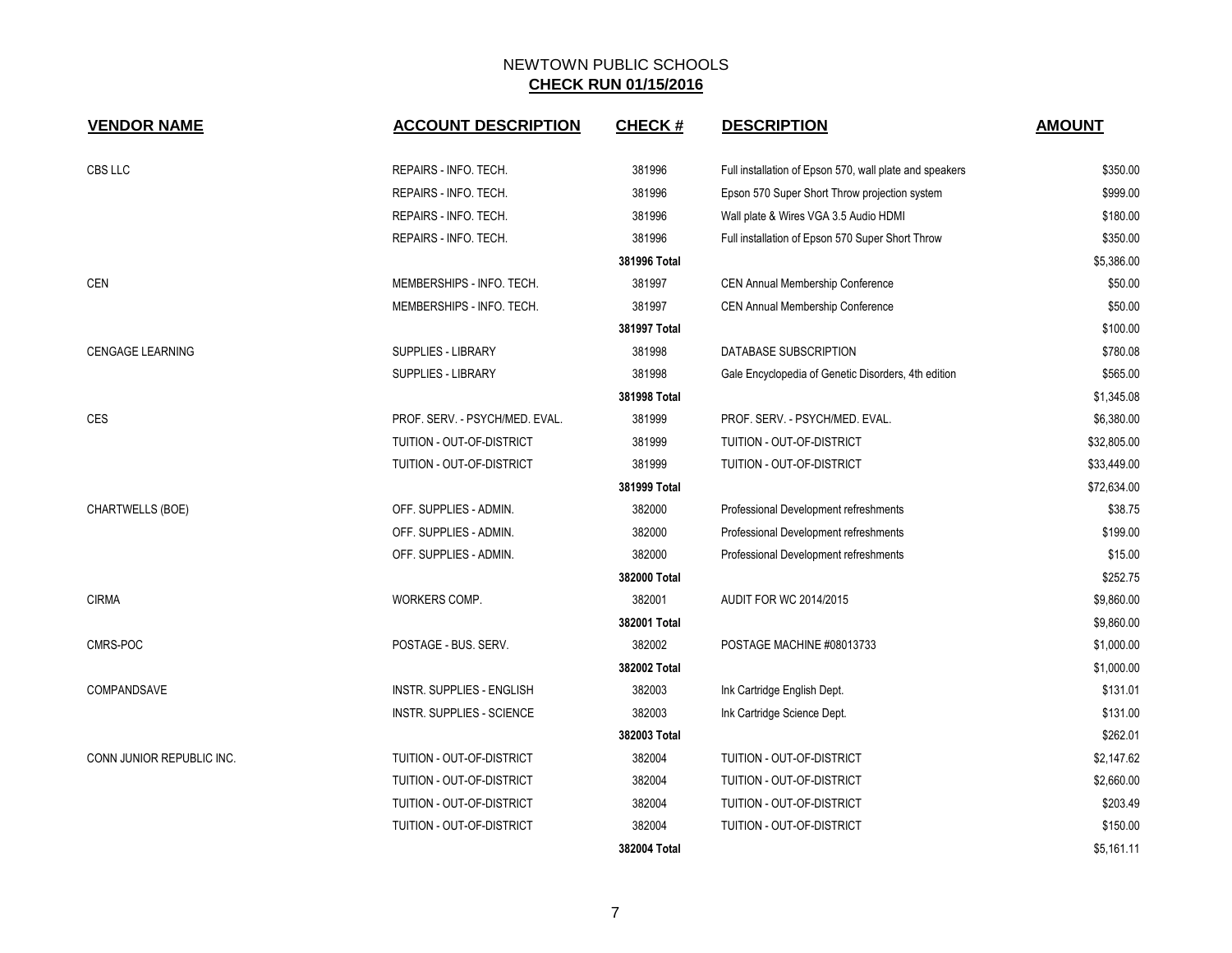| <b>VENDOR NAME</b>        | <b>ACCOUNT DESCRIPTION</b>       | <b>CHECK#</b> | <b>DESCRIPTION</b>                                      | <b>AMOUNT</b> |
|---------------------------|----------------------------------|---------------|---------------------------------------------------------|---------------|
| CBS LLC                   | REPAIRS - INFO. TECH.            | 381996        | Full installation of Epson 570, wall plate and speakers | \$350.00      |
|                           | REPAIRS - INFO. TECH.            | 381996        | Epson 570 Super Short Throw projection system           | \$999.00      |
|                           | REPAIRS - INFO. TECH.            | 381996        | Wall plate & Wires VGA 3.5 Audio HDMI                   | \$180.00      |
|                           | REPAIRS - INFO. TECH.            | 381996        | Full installation of Epson 570 Super Short Throw        | \$350.00      |
|                           |                                  | 381996 Total  |                                                         | \$5,386.00    |
| <b>CEN</b>                | MEMBERSHIPS - INFO. TECH.        | 381997        | CEN Annual Membership Conference                        | \$50.00       |
|                           | MEMBERSHIPS - INFO. TECH.        | 381997        | CEN Annual Membership Conference                        | \$50.00       |
|                           |                                  | 381997 Total  |                                                         | \$100.00      |
| <b>CENGAGE LEARNING</b>   | <b>SUPPLIES - LIBRARY</b>        | 381998        | DATABASE SUBSCRIPTION                                   | \$780.08      |
|                           | SUPPLIES - LIBRARY               | 381998        | Gale Encyclopedia of Genetic Disorders, 4th edition     | \$565.00      |
|                           |                                  | 381998 Total  |                                                         | \$1,345.08    |
| CES                       | PROF. SERV. - PSYCH/MED. EVAL.   | 381999        | PROF. SERV. - PSYCH/MED. EVAL.                          | \$6,380.00    |
|                           | TUITION - OUT-OF-DISTRICT        | 381999        | TUITION - OUT-OF-DISTRICT                               | \$32,805.00   |
|                           | TUITION - OUT-OF-DISTRICT        | 381999        | TUITION - OUT-OF-DISTRICT                               | \$33,449.00   |
|                           |                                  | 381999 Total  |                                                         | \$72,634.00   |
| CHARTWELLS (BOE)          | OFF. SUPPLIES - ADMIN.           | 382000        | Professional Development refreshments                   | \$38.75       |
|                           | OFF. SUPPLIES - ADMIN.           | 382000        | Professional Development refreshments                   | \$199.00      |
|                           | OFF. SUPPLIES - ADMIN.           | 382000        | Professional Development refreshments                   | \$15.00       |
|                           |                                  | 382000 Total  |                                                         | \$252.75      |
| <b>CIRMA</b>              | WORKERS COMP.                    | 382001        | AUDIT FOR WC 2014/2015                                  | \$9,860.00    |
|                           |                                  | 382001 Total  |                                                         | \$9,860.00    |
| CMRS-POC                  | POSTAGE - BUS. SERV.             | 382002        | POSTAGE MACHINE #08013733                               | \$1,000.00    |
|                           |                                  | 382002 Total  |                                                         | \$1,000.00    |
| COMPANDSAVE               | INSTR. SUPPLIES - ENGLISH        | 382003        | Ink Cartridge English Dept.                             | \$131.01      |
|                           | <b>INSTR. SUPPLIES - SCIENCE</b> | 382003        | Ink Cartridge Science Dept.                             | \$131.00      |
|                           |                                  | 382003 Total  |                                                         | \$262.01      |
| CONN JUNIOR REPUBLIC INC. | TUITION - OUT-OF-DISTRICT        | 382004        | TUITION - OUT-OF-DISTRICT                               | \$2,147.62    |
|                           | TUITION - OUT-OF-DISTRICT        | 382004        | TUITION - OUT-OF-DISTRICT                               | \$2,660.00    |
|                           | TUITION - OUT-OF-DISTRICT        | 382004        | TUITION - OUT-OF-DISTRICT                               | \$203.49      |
|                           | TUITION - OUT-OF-DISTRICT        | 382004        | TUITION - OUT-OF-DISTRICT                               | \$150.00      |
|                           |                                  | 382004 Total  |                                                         | \$5,161.11    |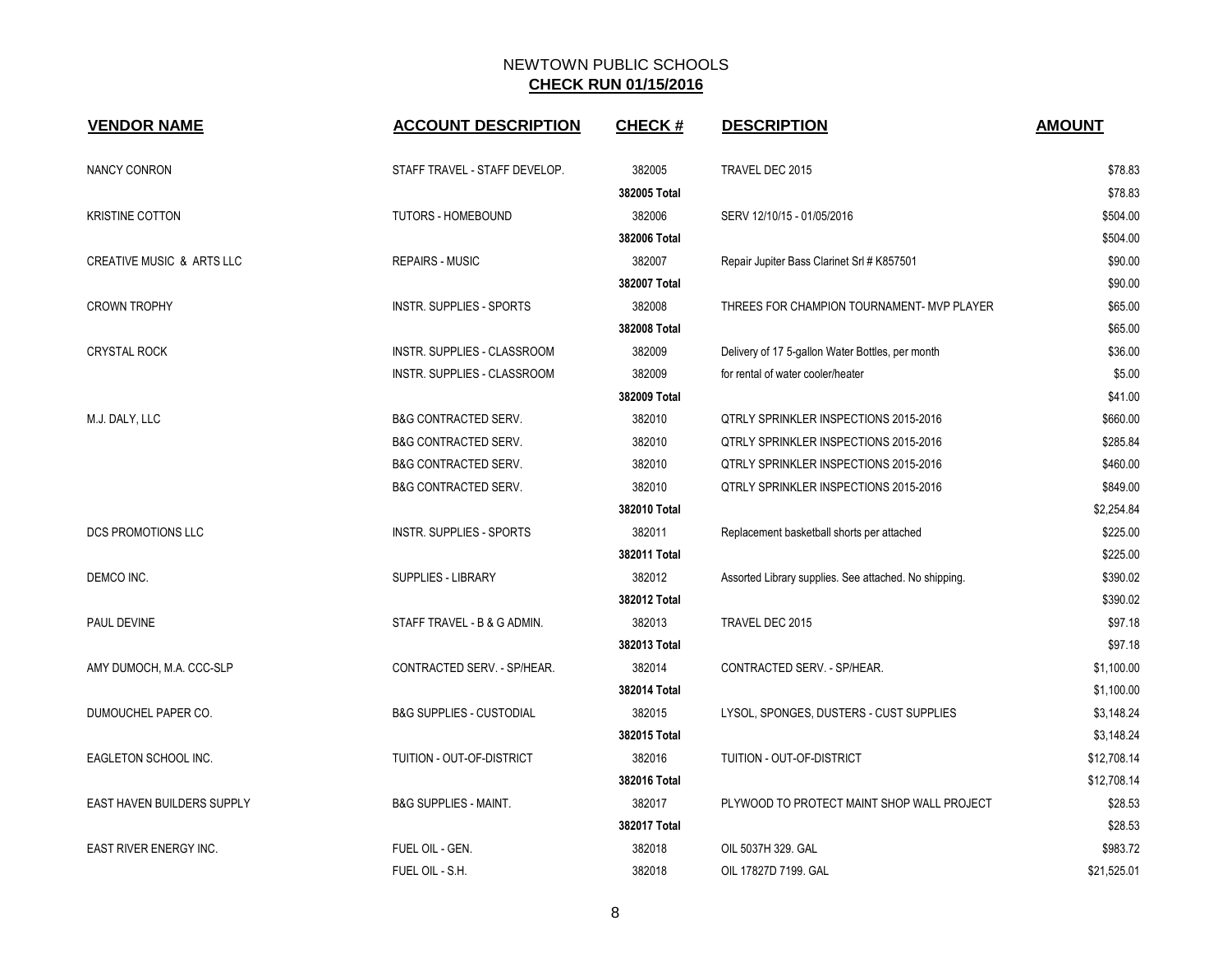| <b>VENDOR NAME</b>                | <b>ACCOUNT DESCRIPTION</b>          | CHECK #      | <b>DESCRIPTION</b>                                    | <b>AMOUNT</b> |
|-----------------------------------|-------------------------------------|--------------|-------------------------------------------------------|---------------|
| NANCY CONRON                      | STAFF TRAVEL - STAFF DEVELOP.       | 382005       | TRAVEL DEC 2015                                       | \$78.83       |
|                                   |                                     | 382005 Total |                                                       | \$78.83       |
| <b>KRISTINE COTTON</b>            | <b>TUTORS - HOMEBOUND</b>           | 382006       | SERV 12/10/15 - 01/05/2016                            | \$504.00      |
|                                   |                                     | 382006 Total |                                                       | \$504.00      |
| CREATIVE MUSIC & ARTS LLC         | <b>REPAIRS - MUSIC</b>              | 382007       | Repair Jupiter Bass Clarinet Srl # K857501            | \$90.00       |
|                                   |                                     | 382007 Total |                                                       | \$90.00       |
| <b>CROWN TROPHY</b>               | <b>INSTR. SUPPLIES - SPORTS</b>     | 382008       | THREES FOR CHAMPION TOURNAMENT- MVP PLAYER            | \$65.00       |
|                                   |                                     | 382008 Total |                                                       | \$65.00       |
| <b>CRYSTAL ROCK</b>               | <b>INSTR. SUPPLIES - CLASSROOM</b>  | 382009       | Delivery of 17 5-gallon Water Bottles, per month      | \$36.00       |
|                                   | INSTR. SUPPLIES - CLASSROOM         | 382009       | for rental of water cooler/heater                     | \$5.00        |
|                                   |                                     | 382009 Total |                                                       | \$41.00       |
| M.J. DALY, LLC                    | <b>B&amp;G CONTRACTED SERV.</b>     | 382010       | QTRLY SPRINKLER INSPECTIONS 2015-2016                 | \$660.00      |
|                                   | <b>B&amp;G CONTRACTED SERV.</b>     | 382010       | QTRLY SPRINKLER INSPECTIONS 2015-2016                 | \$285.84      |
|                                   | <b>B&amp;G CONTRACTED SERV.</b>     | 382010       | QTRLY SPRINKLER INSPECTIONS 2015-2016                 | \$460.00      |
|                                   | <b>B&amp;G CONTRACTED SERV.</b>     | 382010       | QTRLY SPRINKLER INSPECTIONS 2015-2016                 | \$849.00      |
|                                   |                                     | 382010 Total |                                                       | \$2,254.84    |
| DCS PROMOTIONS LLC                | <b>INSTR. SUPPLIES - SPORTS</b>     | 382011       | Replacement basketball shorts per attached            | \$225.00      |
|                                   |                                     | 382011 Total |                                                       | \$225.00      |
| DEMCO INC.                        | <b>SUPPLIES - LIBRARY</b>           | 382012       | Assorted Library supplies. See attached. No shipping. | \$390.02      |
|                                   |                                     | 382012 Total |                                                       | \$390.02      |
| PAUL DEVINE                       | STAFF TRAVEL - B & G ADMIN.         | 382013       | TRAVEL DEC 2015                                       | \$97.18       |
|                                   |                                     | 382013 Total |                                                       | \$97.18       |
| AMY DUMOCH, M.A. CCC-SLP          | CONTRACTED SERV. - SP/HEAR.         | 382014       | CONTRACTED SERV. - SP/HEAR.                           | \$1,100.00    |
|                                   |                                     | 382014 Total |                                                       | \$1,100.00    |
| DUMOUCHEL PAPER CO.               | <b>B&amp;G SUPPLIES - CUSTODIAL</b> | 382015       | LYSOL, SPONGES, DUSTERS - CUST SUPPLIES               | \$3,148.24    |
|                                   |                                     | 382015 Total |                                                       | \$3,148.24    |
| EAGLETON SCHOOL INC.              | TUITION - OUT-OF-DISTRICT           | 382016       | TUITION - OUT-OF-DISTRICT                             | \$12,708.14   |
|                                   |                                     | 382016 Total |                                                       | \$12,708.14   |
| <b>EAST HAVEN BUILDERS SUPPLY</b> | <b>B&amp;G SUPPLIES - MAINT.</b>    | 382017       | PLYWOOD TO PROTECT MAINT SHOP WALL PROJECT            | \$28.53       |
|                                   |                                     | 382017 Total |                                                       | \$28.53       |
| EAST RIVER ENERGY INC.            | FUEL OIL - GEN.                     | 382018       | OIL 5037H 329. GAL                                    | \$983.72      |
|                                   | FUEL OIL - S.H.                     | 382018       | OIL 17827D 7199. GAL                                  | \$21,525.01   |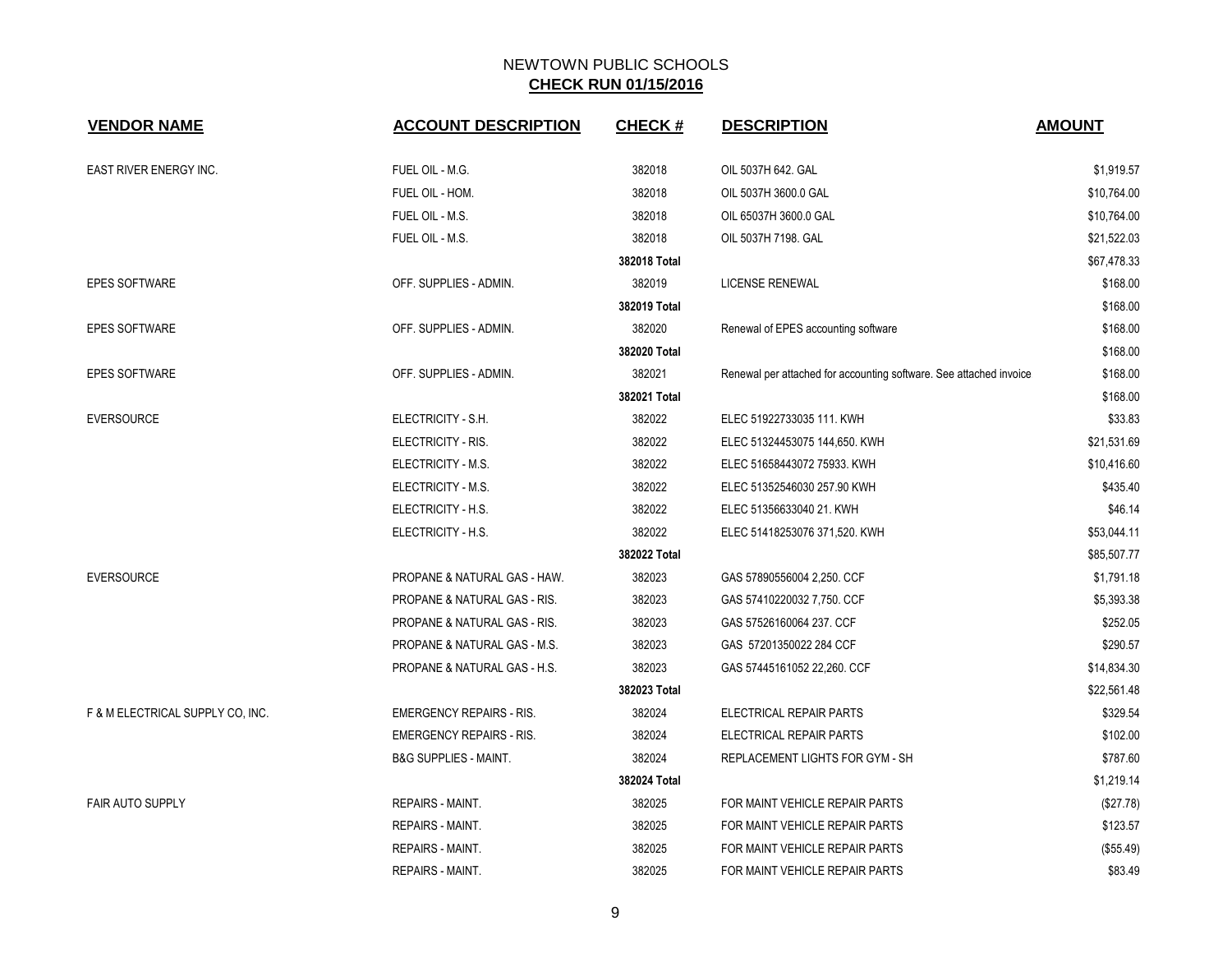| <b>VENDOR NAME</b>               | <b>ACCOUNT DESCRIPTION</b>              | <b>CHECK#</b> | <b>DESCRIPTION</b>                                                  | <b>AMOUNT</b> |
|----------------------------------|-----------------------------------------|---------------|---------------------------------------------------------------------|---------------|
| EAST RIVER ENERGY INC.           | FUEL OIL - M.G.                         | 382018        | OIL 5037H 642. GAL                                                  | \$1,919.57    |
|                                  | FUEL OIL - HOM.                         | 382018        | OIL 5037H 3600.0 GAL                                                | \$10,764.00   |
|                                  | FUEL OIL - M.S.                         | 382018        | OIL 65037H 3600.0 GAL                                               | \$10,764.00   |
|                                  | FUEL OIL - M.S.                         | 382018        | OIL 5037H 7198. GAL                                                 | \$21,522.03   |
|                                  |                                         | 382018 Total  |                                                                     | \$67,478.33   |
| <b>EPES SOFTWARE</b>             | OFF. SUPPLIES - ADMIN.                  | 382019        | <b>LICENSE RENEWAL</b>                                              | \$168.00      |
|                                  |                                         | 382019 Total  |                                                                     | \$168.00      |
| <b>EPES SOFTWARE</b>             | OFF. SUPPLIES - ADMIN.                  | 382020        | Renewal of EPES accounting software                                 | \$168.00      |
|                                  |                                         | 382020 Total  |                                                                     | \$168.00      |
| <b>EPES SOFTWARE</b>             | OFF. SUPPLIES - ADMIN.                  | 382021        | Renewal per attached for accounting software. See attached invoice. | \$168.00      |
|                                  |                                         | 382021 Total  |                                                                     | \$168.00      |
| <b>EVERSOURCE</b>                | ELECTRICITY - S.H.                      | 382022        | ELEC 51922733035 111. KWH                                           | \$33.83       |
|                                  | ELECTRICITY - RIS.                      | 382022        | ELEC 51324453075 144,650. KWH                                       | \$21,531.69   |
|                                  | ELECTRICITY - M.S.                      | 382022        | ELEC 51658443072 75933. KWH                                         | \$10,416.60   |
|                                  | ELECTRICITY - M.S.                      | 382022        | ELEC 51352546030 257.90 KWH                                         | \$435.40      |
|                                  | ELECTRICITY - H.S.                      | 382022        | ELEC 51356633040 21. KWH                                            | \$46.14       |
|                                  | ELECTRICITY - H.S.                      | 382022        | ELEC 51418253076 371,520. KWH                                       | \$53,044.11   |
|                                  |                                         | 382022 Total  |                                                                     | \$85,507.77   |
| <b>EVERSOURCE</b>                | PROPANE & NATURAL GAS - HAW.            | 382023        | GAS 57890556004 2,250. CCF                                          | \$1,791.18    |
|                                  | PROPANE & NATURAL GAS - RIS.            | 382023        | GAS 57410220032 7,750. CCF                                          | \$5,393.38    |
|                                  | <b>PROPANE &amp; NATURAL GAS - RIS.</b> | 382023        | GAS 57526160064 237, CCF                                            | \$252.05      |
|                                  | PROPANE & NATURAL GAS - M.S.            | 382023        | GAS 57201350022 284 CCF                                             | \$290.57      |
|                                  | PROPANE & NATURAL GAS - H.S.            | 382023        | GAS 57445161052 22,260. CCF                                         | \$14,834.30   |
|                                  |                                         | 382023 Total  |                                                                     | \$22,561.48   |
| F & M ELECTRICAL SUPPLY CO, INC. | <b>EMERGENCY REPAIRS - RIS.</b>         | 382024        | ELECTRICAL REPAIR PARTS                                             | \$329.54      |
|                                  | <b>EMERGENCY REPAIRS - RIS.</b>         | 382024        | ELECTRICAL REPAIR PARTS                                             | \$102.00      |
|                                  | <b>B&amp;G SUPPLIES - MAINT.</b>        | 382024        | REPLACEMENT LIGHTS FOR GYM - SH                                     | \$787.60      |
|                                  |                                         | 382024 Total  |                                                                     | \$1,219.14    |
| <b>FAIR AUTO SUPPLY</b>          | <b>REPAIRS - MAINT.</b>                 | 382025        | FOR MAINT VEHICLE REPAIR PARTS                                      | (\$27.78)     |
|                                  | <b>REPAIRS - MAINT.</b>                 | 382025        | FOR MAINT VEHICLE REPAIR PARTS                                      | \$123.57      |
|                                  | <b>REPAIRS - MAINT.</b>                 | 382025        | FOR MAINT VEHICLE REPAIR PARTS                                      | (\$55.49)     |
|                                  | <b>REPAIRS - MAINT.</b>                 | 382025        | FOR MAINT VEHICLE REPAIR PARTS                                      | \$83.49       |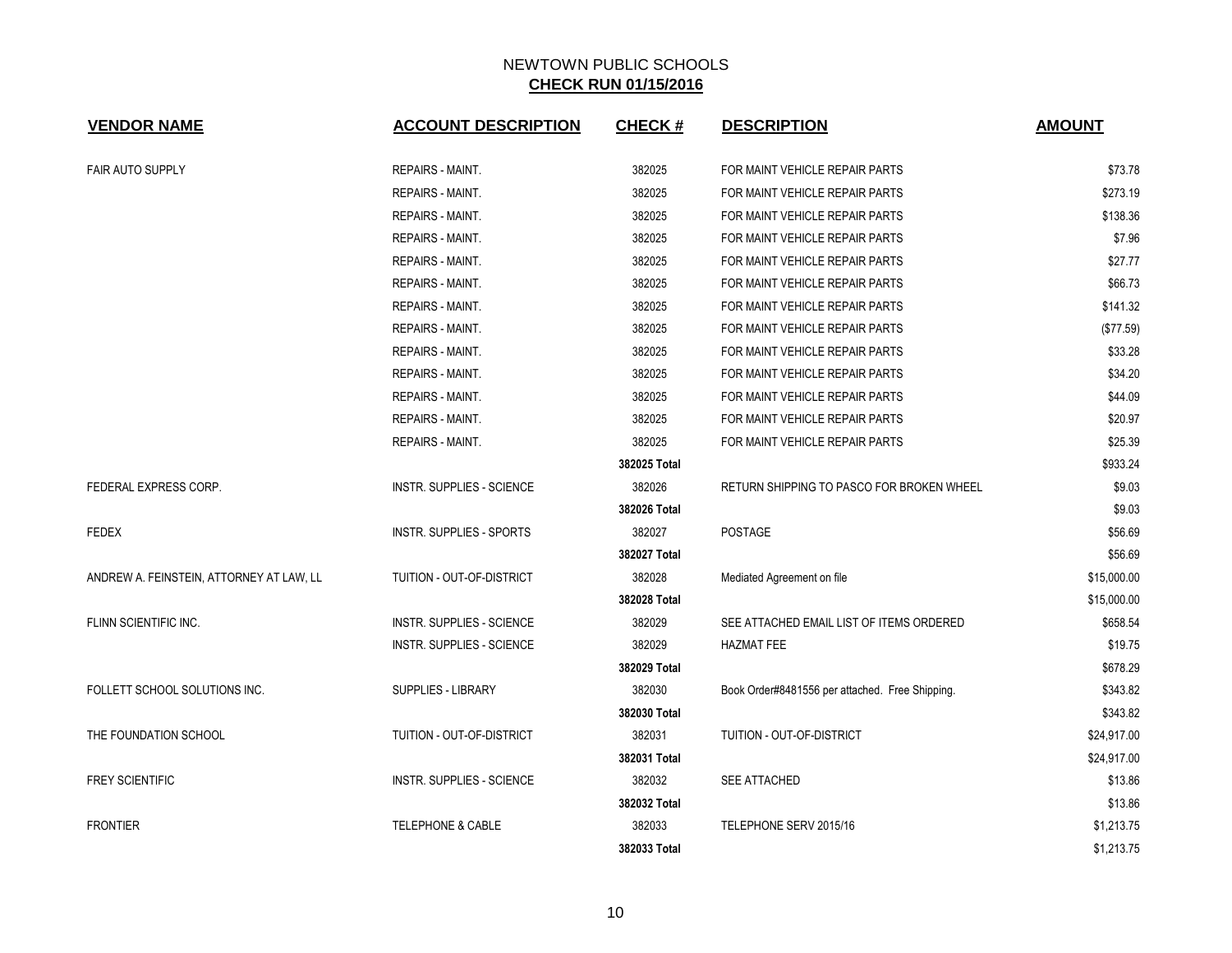| <b>VENDOR NAME</b>                       | <b>ACCOUNT DESCRIPTION</b>       | <b>CHECK#</b> | <b>DESCRIPTION</b>                              | <b>AMOUNT</b> |
|------------------------------------------|----------------------------------|---------------|-------------------------------------------------|---------------|
| <b>FAIR AUTO SUPPLY</b>                  | <b>REPAIRS - MAINT.</b>          | 382025        | FOR MAINT VEHICLE REPAIR PARTS                  | \$73.78       |
|                                          | <b>REPAIRS - MAINT.</b>          | 382025        | FOR MAINT VEHICLE REPAIR PARTS                  | \$273.19      |
|                                          | <b>REPAIRS - MAINT.</b>          | 382025        | FOR MAINT VEHICLE REPAIR PARTS                  | \$138.36      |
|                                          | REPAIRS - MAINT.                 | 382025        | FOR MAINT VEHICLE REPAIR PARTS                  | \$7.96        |
|                                          | REPAIRS - MAINT.                 | 382025        | FOR MAINT VEHICLE REPAIR PARTS                  | \$27.77       |
|                                          | <b>REPAIRS - MAINT.</b>          | 382025        | FOR MAINT VEHICLE REPAIR PARTS                  | \$66.73       |
|                                          | <b>REPAIRS - MAINT.</b>          | 382025        | FOR MAINT VEHICLE REPAIR PARTS                  | \$141.32      |
|                                          | REPAIRS - MAINT.                 | 382025        | FOR MAINT VEHICLE REPAIR PARTS                  | (\$77.59)     |
|                                          | REPAIRS - MAINT.                 | 382025        | FOR MAINT VEHICLE REPAIR PARTS                  | \$33.28       |
|                                          | <b>REPAIRS - MAINT.</b>          | 382025        | FOR MAINT VEHICLE REPAIR PARTS                  | \$34.20       |
|                                          | <b>REPAIRS - MAINT.</b>          | 382025        | FOR MAINT VEHICLE REPAIR PARTS                  | \$44.09       |
|                                          | REPAIRS - MAINT.                 | 382025        | FOR MAINT VEHICLE REPAIR PARTS                  | \$20.97       |
|                                          | <b>REPAIRS - MAINT.</b>          | 382025        | FOR MAINT VEHICLE REPAIR PARTS                  | \$25.39       |
|                                          |                                  | 382025 Total  |                                                 | \$933.24      |
| FEDERAL EXPRESS CORP.                    | <b>INSTR. SUPPLIES - SCIENCE</b> | 382026        | RETURN SHIPPING TO PASCO FOR BROKEN WHEEL       | \$9.03        |
|                                          |                                  | 382026 Total  |                                                 | \$9.03        |
| <b>FEDEX</b>                             | <b>INSTR. SUPPLIES - SPORTS</b>  | 382027        | <b>POSTAGE</b>                                  | \$56.69       |
|                                          |                                  | 382027 Total  |                                                 | \$56.69       |
| ANDREW A. FEINSTEIN, ATTORNEY AT LAW, LL | TUITION - OUT-OF-DISTRICT        | 382028        | Mediated Agreement on file                      | \$15,000.00   |
|                                          |                                  | 382028 Total  |                                                 | \$15,000.00   |
| FLINN SCIENTIFIC INC.                    | <b>INSTR. SUPPLIES - SCIENCE</b> | 382029        | SEE ATTACHED EMAIL LIST OF ITEMS ORDERED        | \$658.54      |
|                                          | <b>INSTR. SUPPLIES - SCIENCE</b> | 382029        | <b>HAZMAT FEE</b>                               | \$19.75       |
|                                          |                                  | 382029 Total  |                                                 | \$678.29      |
| FOLLETT SCHOOL SOLUTIONS INC.            | <b>SUPPLIES - LIBRARY</b>        | 382030        | Book Order#8481556 per attached. Free Shipping. | \$343.82      |
|                                          |                                  | 382030 Total  |                                                 | \$343.82      |
| THE FOUNDATION SCHOOL                    | TUITION - OUT-OF-DISTRICT        | 382031        | TUITION - OUT-OF-DISTRICT                       | \$24,917.00   |
|                                          |                                  | 382031 Total  |                                                 | \$24,917.00   |
| <b>FREY SCIENTIFIC</b>                   | <b>INSTR. SUPPLIES - SCIENCE</b> | 382032        | SEE ATTACHED                                    | \$13.86       |
|                                          |                                  | 382032 Total  |                                                 | \$13.86       |
| <b>FRONTIER</b>                          | <b>TELEPHONE &amp; CABLE</b>     | 382033        | TELEPHONE SERV 2015/16                          | \$1,213.75    |
|                                          |                                  | 382033 Total  |                                                 | \$1,213.75    |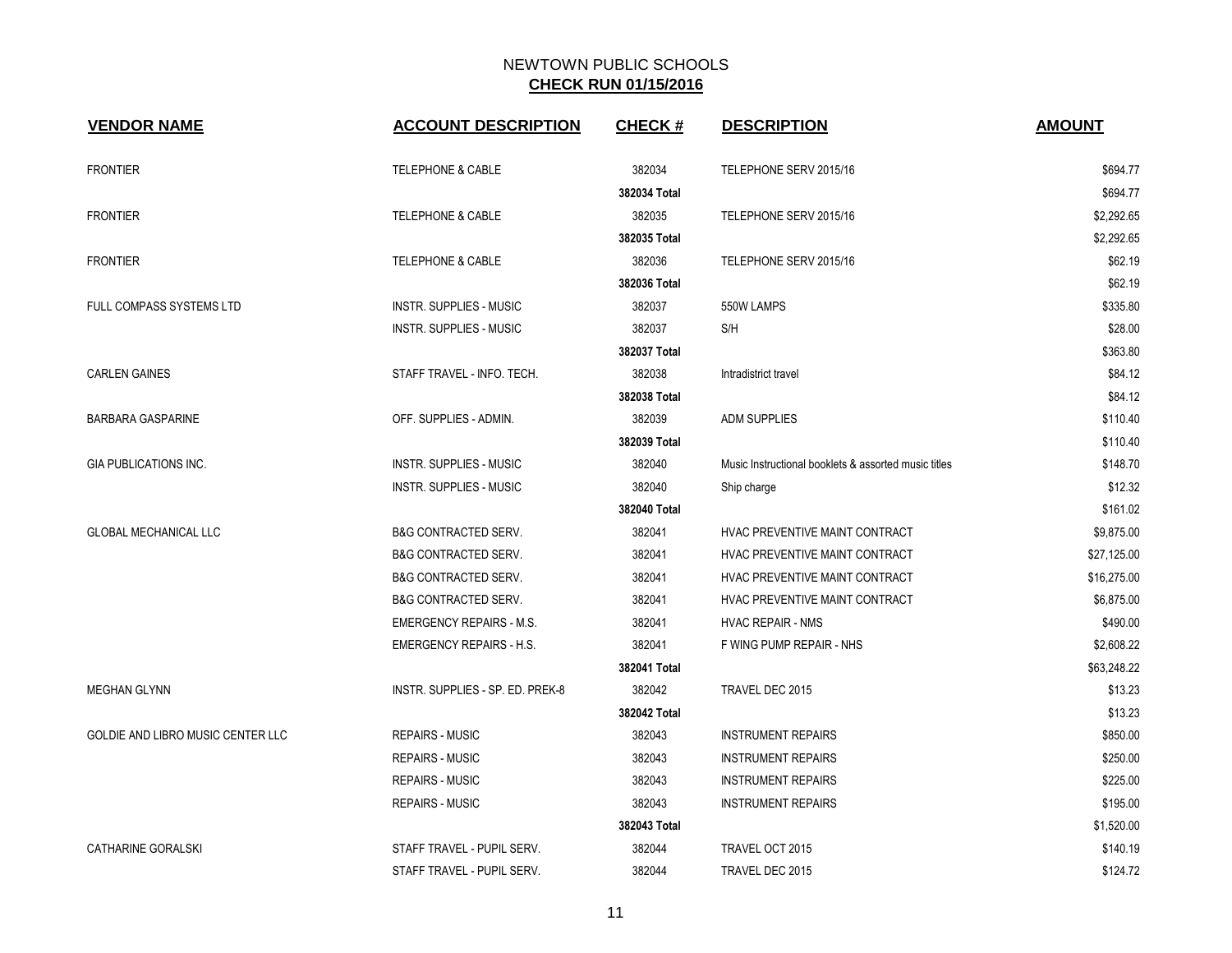| <b>VENDOR NAME</b>                | <b>ACCOUNT DESCRIPTION</b>       | <b>CHECK#</b> | <b>DESCRIPTION</b>                                   | <b>AMOUNT</b> |
|-----------------------------------|----------------------------------|---------------|------------------------------------------------------|---------------|
| <b>FRONTIER</b>                   | <b>TELEPHONE &amp; CABLE</b>     | 382034        | TELEPHONE SERV 2015/16                               | \$694.77      |
|                                   |                                  | 382034 Total  |                                                      | \$694.77      |
| <b>FRONTIER</b>                   | <b>TELEPHONE &amp; CABLE</b>     | 382035        | TELEPHONE SERV 2015/16                               | \$2,292.65    |
|                                   |                                  | 382035 Total  |                                                      | \$2,292.65    |
| <b>FRONTIER</b>                   | <b>TELEPHONE &amp; CABLE</b>     | 382036        | TELEPHONE SERV 2015/16                               | \$62.19       |
|                                   |                                  | 382036 Total  |                                                      | \$62.19       |
| FULL COMPASS SYSTEMS LTD          | <b>INSTR. SUPPLIES - MUSIC</b>   | 382037        | 550W LAMPS                                           | \$335.80      |
|                                   | INSTR. SUPPLIES - MUSIC          | 382037        | S/H                                                  | \$28.00       |
|                                   |                                  | 382037 Total  |                                                      | \$363.80      |
| <b>CARLEN GAINES</b>              | STAFF TRAVEL - INFO. TECH.       | 382038        | Intradistrict travel                                 | \$84.12       |
|                                   |                                  | 382038 Total  |                                                      | \$84.12       |
| <b>BARBARA GASPARINE</b>          | OFF. SUPPLIES - ADMIN.           | 382039        | <b>ADM SUPPLIES</b>                                  | \$110.40      |
|                                   |                                  | 382039 Total  |                                                      | \$110.40      |
| GIA PUBLICATIONS INC.             | <b>INSTR. SUPPLIES - MUSIC</b>   | 382040        | Music Instructional booklets & assorted music titles | \$148.70      |
|                                   | <b>INSTR. SUPPLIES - MUSIC</b>   | 382040        | Ship charge                                          | \$12.32       |
|                                   |                                  | 382040 Total  |                                                      | \$161.02      |
| <b>GLOBAL MECHANICAL LLC</b>      | <b>B&amp;G CONTRACTED SERV.</b>  | 382041        | HVAC PREVENTIVE MAINT CONTRACT                       | \$9,875.00    |
|                                   | <b>B&amp;G CONTRACTED SERV.</b>  | 382041        | HVAC PREVENTIVE MAINT CONTRACT                       | \$27,125.00   |
|                                   | <b>B&amp;G CONTRACTED SERV.</b>  | 382041        | HVAC PREVENTIVE MAINT CONTRACT                       | \$16,275.00   |
|                                   | <b>B&amp;G CONTRACTED SERV.</b>  | 382041        | HVAC PREVENTIVE MAINT CONTRACT                       | \$6,875.00    |
|                                   | <b>EMERGENCY REPAIRS - M.S.</b>  | 382041        | <b>HVAC REPAIR - NMS</b>                             | \$490.00      |
|                                   | <b>EMERGENCY REPAIRS - H.S.</b>  | 382041        | F WING PUMP REPAIR - NHS                             | \$2,608.22    |
|                                   |                                  | 382041 Total  |                                                      | \$63,248.22   |
| <b>MEGHAN GLYNN</b>               | INSTR. SUPPLIES - SP. ED. PREK-8 | 382042        | TRAVEL DEC 2015                                      | \$13.23       |
|                                   |                                  | 382042 Total  |                                                      | \$13.23       |
| GOLDIE AND LIBRO MUSIC CENTER LLC | <b>REPAIRS - MUSIC</b>           | 382043        | <b>INSTRUMENT REPAIRS</b>                            | \$850.00      |
|                                   | <b>REPAIRS - MUSIC</b>           | 382043        | <b>INSTRUMENT REPAIRS</b>                            | \$250.00      |
|                                   | <b>REPAIRS - MUSIC</b>           | 382043        | <b>INSTRUMENT REPAIRS</b>                            | \$225.00      |
|                                   | <b>REPAIRS - MUSIC</b>           | 382043        | <b>INSTRUMENT REPAIRS</b>                            | \$195.00      |
|                                   |                                  | 382043 Total  |                                                      | \$1,520.00    |
| <b>CATHARINE GORALSKI</b>         | STAFF TRAVEL - PUPIL SERV.       | 382044        | TRAVEL OCT 2015                                      | \$140.19      |
|                                   | STAFF TRAVEL - PUPIL SERV.       | 382044        | TRAVEL DEC 2015                                      | \$124.72      |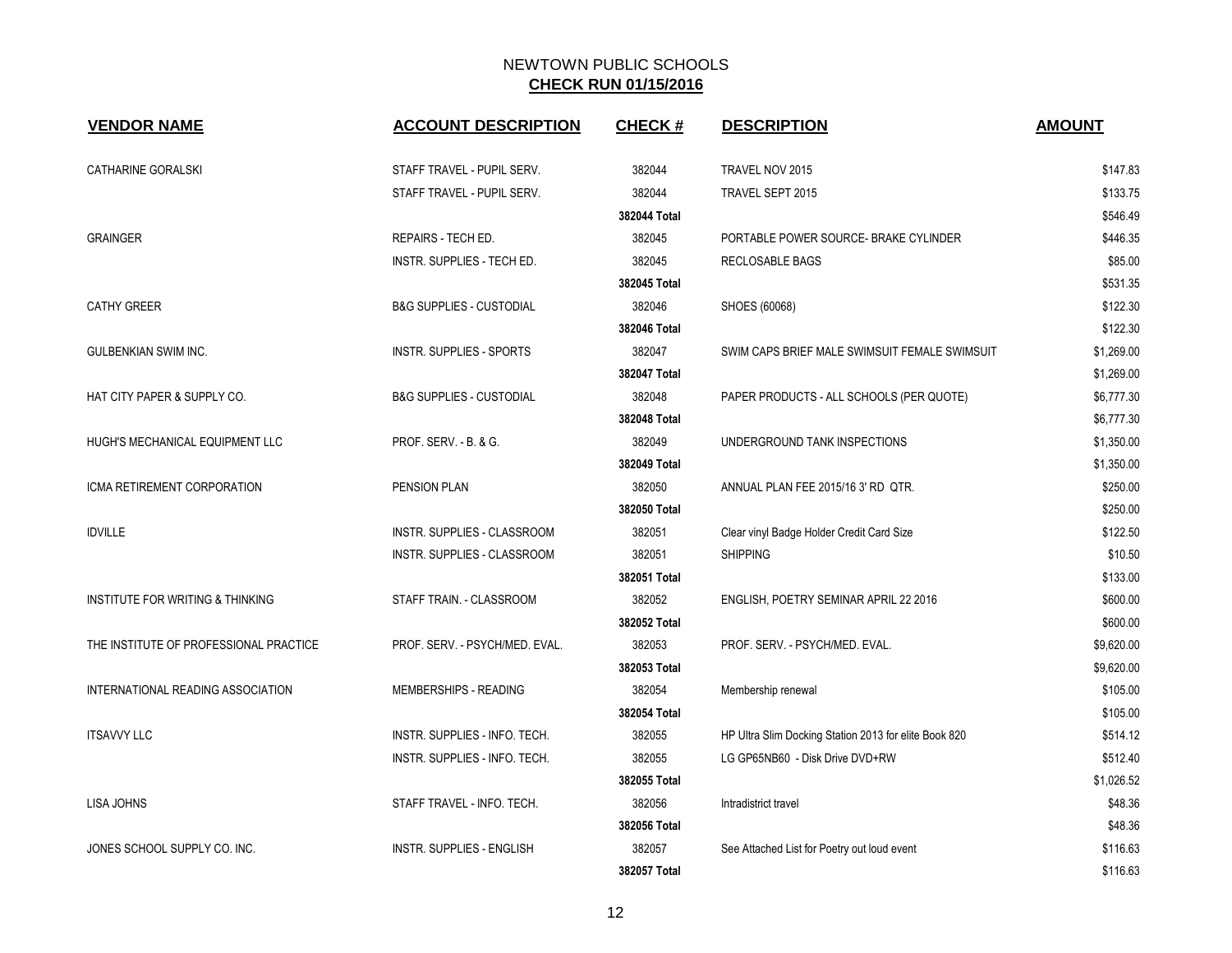| <b>VENDOR NAME</b>                     | <b>ACCOUNT DESCRIPTION</b>          | <b>CHECK#</b> | <b>DESCRIPTION</b>                                    | <b>AMOUNT</b> |
|----------------------------------------|-------------------------------------|---------------|-------------------------------------------------------|---------------|
| <b>CATHARINE GORALSKI</b>              | STAFF TRAVEL - PUPIL SERV.          | 382044        | TRAVEL NOV 2015                                       | \$147.83      |
|                                        | STAFF TRAVEL - PUPIL SERV.          | 382044        | TRAVEL SEPT 2015                                      | \$133.75      |
|                                        |                                     | 382044 Total  |                                                       | \$546.49      |
| <b>GRAINGER</b>                        | REPAIRS - TECH ED.                  | 382045        | PORTABLE POWER SOURCE- BRAKE CYLINDER                 | \$446.35      |
|                                        | INSTR. SUPPLIES - TECH ED.          | 382045        | <b>RECLOSABLE BAGS</b>                                | \$85.00       |
|                                        |                                     | 382045 Total  |                                                       | \$531.35      |
| <b>CATHY GREER</b>                     | <b>B&amp;G SUPPLIES - CUSTODIAL</b> | 382046        | SHOES (60068)                                         | \$122.30      |
|                                        |                                     | 382046 Total  |                                                       | \$122.30      |
| <b>GULBENKIAN SWIM INC.</b>            | INSTR. SUPPLIES - SPORTS            | 382047        | SWIM CAPS BRIEF MALE SWIMSUIT FEMALE SWIMSUIT         | \$1,269.00    |
|                                        |                                     | 382047 Total  |                                                       | \$1,269.00    |
| HAT CITY PAPER & SUPPLY CO.            | <b>B&amp;G SUPPLIES - CUSTODIAL</b> | 382048        | PAPER PRODUCTS - ALL SCHOOLS (PER QUOTE)              | \$6,777.30    |
|                                        |                                     | 382048 Total  |                                                       | \$6,777.30    |
| HUGH'S MECHANICAL EQUIPMENT LLC        | <b>PROF. SERV. - B. &amp; G.</b>    | 382049        | UNDERGROUND TANK INSPECTIONS                          | \$1,350.00    |
|                                        |                                     | 382049 Total  |                                                       | \$1,350.00    |
| ICMA RETIREMENT CORPORATION            | PENSION PLAN                        | 382050        | ANNUAL PLAN FEE 2015/16 3' RD QTR.                    | \$250.00      |
|                                        |                                     | 382050 Total  |                                                       | \$250.00      |
| <b>IDVILLE</b>                         | INSTR. SUPPLIES - CLASSROOM         | 382051        | Clear vinyl Badge Holder Credit Card Size             | \$122.50      |
|                                        | INSTR. SUPPLIES - CLASSROOM         | 382051        | <b>SHIPPING</b>                                       | \$10.50       |
|                                        |                                     | 382051 Total  |                                                       | \$133.00      |
| INSTITUTE FOR WRITING & THINKING       | STAFF TRAIN. - CLASSROOM            | 382052        | ENGLISH, POETRY SEMINAR APRIL 22 2016                 | \$600.00      |
|                                        |                                     | 382052 Total  |                                                       | \$600.00      |
| THE INSTITUTE OF PROFESSIONAL PRACTICE | PROF. SERV. - PSYCH/MED. EVAL.      | 382053        | PROF. SERV. - PSYCH/MED. EVAL.                        | \$9,620.00    |
|                                        |                                     | 382053 Total  |                                                       | \$9,620.00    |
| INTERNATIONAL READING ASSOCIATION      | MEMBERSHIPS - READING               | 382054        | Membership renewal                                    | \$105.00      |
|                                        |                                     | 382054 Total  |                                                       | \$105.00      |
| <b>ITSAVVY LLC</b>                     | INSTR. SUPPLIES - INFO. TECH.       | 382055        | HP Ultra Slim Docking Station 2013 for elite Book 820 | \$514.12      |
|                                        | INSTR. SUPPLIES - INFO. TECH.       | 382055        | LG GP65NB60 - Disk Drive DVD+RW                       | \$512.40      |
|                                        |                                     | 382055 Total  |                                                       | \$1,026.52    |
| <b>LISA JOHNS</b>                      | STAFF TRAVEL - INFO. TECH.          | 382056        | Intradistrict travel                                  | \$48.36       |
|                                        |                                     | 382056 Total  |                                                       | \$48.36       |
| JONES SCHOOL SUPPLY CO. INC.           | <b>INSTR. SUPPLIES - ENGLISH</b>    | 382057        | See Attached List for Poetry out loud event           | \$116.63      |
|                                        |                                     | 382057 Total  |                                                       | \$116.63      |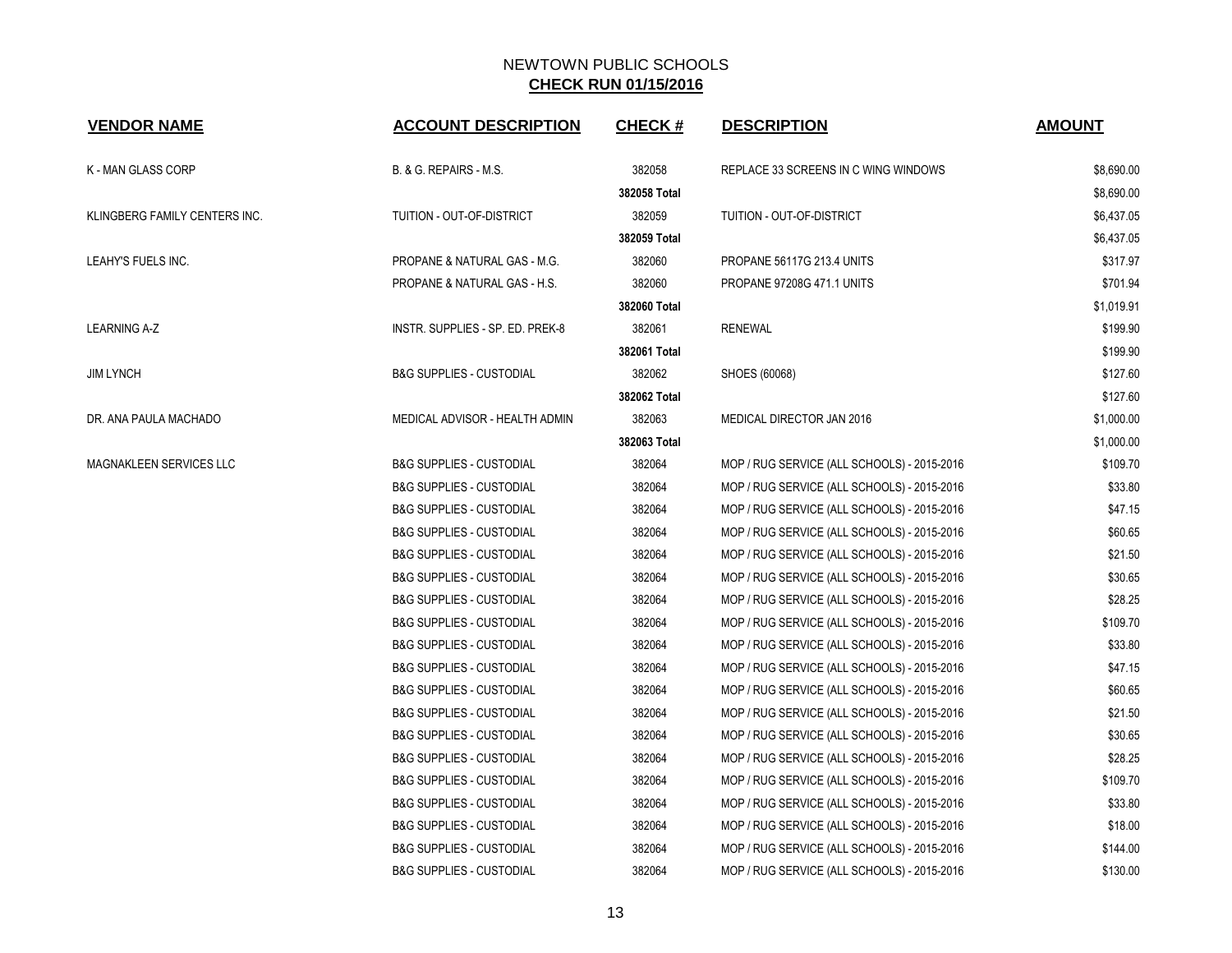| <b>VENDOR NAME</b>             | <b>ACCOUNT DESCRIPTION</b>          | <b>CHECK#</b> | <b>DESCRIPTION</b>                          | <b>AMOUNT</b> |
|--------------------------------|-------------------------------------|---------------|---------------------------------------------|---------------|
| K - MAN GLASS CORP             | B. & G. REPAIRS - M.S.              | 382058        | REPLACE 33 SCREENS IN C WING WINDOWS        | \$8,690.00    |
|                                |                                     | 382058 Total  |                                             | \$8,690.00    |
| KLINGBERG FAMILY CENTERS INC.  | TUITION - OUT-OF-DISTRICT           | 382059        | TUITION - OUT-OF-DISTRICT                   | \$6,437.05    |
|                                |                                     | 382059 Total  |                                             | \$6,437.05    |
| LEAHY'S FUELS INC.             | PROPANE & NATURAL GAS - M.G.        | 382060        | PROPANE 56117G 213.4 UNITS                  | \$317.97      |
|                                | PROPANE & NATURAL GAS - H.S.        | 382060        | PROPANE 97208G 471.1 UNITS                  | \$701.94      |
|                                |                                     | 382060 Total  |                                             | \$1,019.91    |
| <b>LEARNING A-Z</b>            | INSTR. SUPPLIES - SP. ED. PREK-8    | 382061        | <b>RENEWAL</b>                              | \$199.90      |
|                                |                                     | 382061 Total  |                                             | \$199.90      |
| <b>JIM LYNCH</b>               | <b>B&amp;G SUPPLIES - CUSTODIAL</b> | 382062        | SHOES (60068)                               | \$127.60      |
|                                |                                     | 382062 Total  |                                             | \$127.60      |
| DR. ANA PAULA MACHADO          | MEDICAL ADVISOR - HEALTH ADMIN      | 382063        | MEDICAL DIRECTOR JAN 2016                   | \$1,000.00    |
|                                |                                     | 382063 Total  |                                             | \$1,000.00    |
| <b>MAGNAKLEEN SERVICES LLC</b> | <b>B&amp;G SUPPLIES - CUSTODIAL</b> | 382064        | MOP / RUG SERVICE (ALL SCHOOLS) - 2015-2016 | \$109.70      |
|                                | <b>B&amp;G SUPPLIES - CUSTODIAL</b> | 382064        | MOP / RUG SERVICE (ALL SCHOOLS) - 2015-2016 | \$33.80       |
|                                | <b>B&amp;G SUPPLIES - CUSTODIAL</b> | 382064        | MOP / RUG SERVICE (ALL SCHOOLS) - 2015-2016 | \$47.15       |
|                                | <b>B&amp;G SUPPLIES - CUSTODIAL</b> | 382064        | MOP / RUG SERVICE (ALL SCHOOLS) - 2015-2016 | \$60.65       |
|                                | <b>B&amp;G SUPPLIES - CUSTODIAL</b> | 382064        | MOP / RUG SERVICE (ALL SCHOOLS) - 2015-2016 | \$21.50       |
|                                | <b>B&amp;G SUPPLIES - CUSTODIAL</b> | 382064        | MOP / RUG SERVICE (ALL SCHOOLS) - 2015-2016 | \$30.65       |
|                                | <b>B&amp;G SUPPLIES - CUSTODIAL</b> | 382064        | MOP / RUG SERVICE (ALL SCHOOLS) - 2015-2016 | \$28.25       |
|                                | <b>B&amp;G SUPPLIES - CUSTODIAL</b> | 382064        | MOP / RUG SERVICE (ALL SCHOOLS) - 2015-2016 | \$109.70      |
|                                | <b>B&amp;G SUPPLIES - CUSTODIAL</b> | 382064        | MOP / RUG SERVICE (ALL SCHOOLS) - 2015-2016 | \$33.80       |
|                                | <b>B&amp;G SUPPLIES - CUSTODIAL</b> | 382064        | MOP / RUG SERVICE (ALL SCHOOLS) - 2015-2016 | \$47.15       |
|                                | <b>B&amp;G SUPPLIES - CUSTODIAL</b> | 382064        | MOP / RUG SERVICE (ALL SCHOOLS) - 2015-2016 | \$60.65       |
|                                | <b>B&amp;G SUPPLIES - CUSTODIAL</b> | 382064        | MOP / RUG SERVICE (ALL SCHOOLS) - 2015-2016 | \$21.50       |
|                                | <b>B&amp;G SUPPLIES - CUSTODIAL</b> | 382064        | MOP / RUG SERVICE (ALL SCHOOLS) - 2015-2016 | \$30.65       |
|                                | <b>B&amp;G SUPPLIES - CUSTODIAL</b> | 382064        | MOP / RUG SERVICE (ALL SCHOOLS) - 2015-2016 | \$28.25       |
|                                | <b>B&amp;G SUPPLIES - CUSTODIAL</b> | 382064        | MOP / RUG SERVICE (ALL SCHOOLS) - 2015-2016 | \$109.70      |
|                                | <b>B&amp;G SUPPLIES - CUSTODIAL</b> | 382064        | MOP / RUG SERVICE (ALL SCHOOLS) - 2015-2016 | \$33.80       |
|                                | <b>B&amp;G SUPPLIES - CUSTODIAL</b> | 382064        | MOP / RUG SERVICE (ALL SCHOOLS) - 2015-2016 | \$18.00       |
|                                | <b>B&amp;G SUPPLIES - CUSTODIAL</b> | 382064        | MOP / RUG SERVICE (ALL SCHOOLS) - 2015-2016 | \$144.00      |
|                                | <b>B&amp;G SUPPLIES - CUSTODIAL</b> | 382064        | MOP / RUG SERVICE (ALL SCHOOLS) - 2015-2016 | \$130.00      |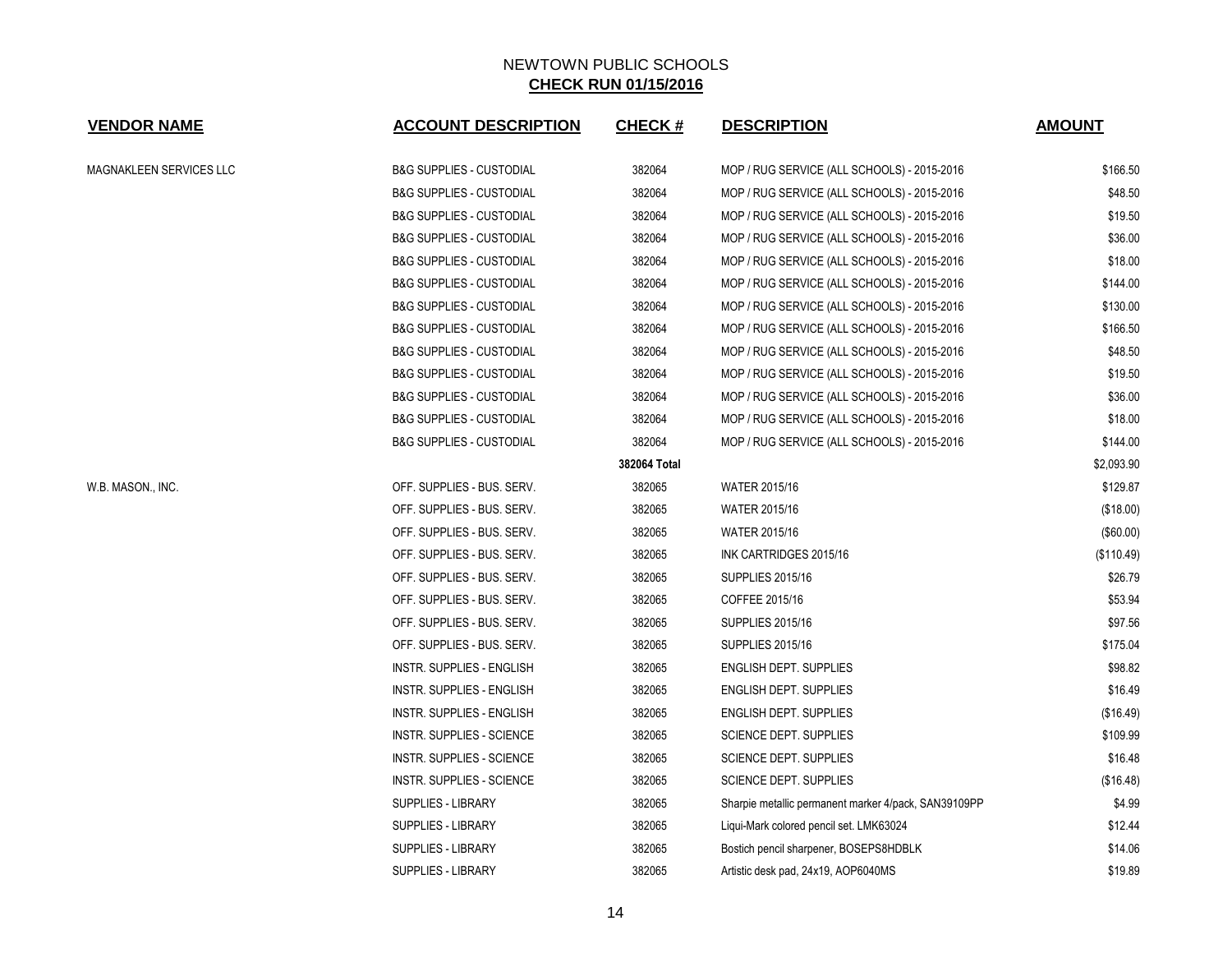| <b>VENDOR NAME</b>      | <b>ACCOUNT DESCRIPTION</b>          | <b>CHECK#</b> | <b>DESCRIPTION</b>                                   | <b>AMOUNT</b> |
|-------------------------|-------------------------------------|---------------|------------------------------------------------------|---------------|
| MAGNAKLEEN SERVICES LLC | <b>B&amp;G SUPPLIES - CUSTODIAL</b> | 382064        | MOP / RUG SERVICE (ALL SCHOOLS) - 2015-2016          | \$166.50      |
|                         | <b>B&amp;G SUPPLIES - CUSTODIAL</b> | 382064        | MOP / RUG SERVICE (ALL SCHOOLS) - 2015-2016          | \$48.50       |
|                         | <b>B&amp;G SUPPLIES - CUSTODIAL</b> | 382064        | MOP / RUG SERVICE (ALL SCHOOLS) - 2015-2016          | \$19.50       |
|                         | <b>B&amp;G SUPPLIES - CUSTODIAL</b> | 382064        | MOP / RUG SERVICE (ALL SCHOOLS) - 2015-2016          | \$36.00       |
|                         | <b>B&amp;G SUPPLIES - CUSTODIAL</b> | 382064        | MOP / RUG SERVICE (ALL SCHOOLS) - 2015-2016          | \$18.00       |
|                         | <b>B&amp;G SUPPLIES - CUSTODIAL</b> | 382064        | MOP / RUG SERVICE (ALL SCHOOLS) - 2015-2016          | \$144.00      |
|                         | <b>B&amp;G SUPPLIES - CUSTODIAL</b> | 382064        | MOP / RUG SERVICE (ALL SCHOOLS) - 2015-2016          | \$130.00      |
|                         | <b>B&amp;G SUPPLIES - CUSTODIAL</b> | 382064        | MOP / RUG SERVICE (ALL SCHOOLS) - 2015-2016          | \$166.50      |
|                         | <b>B&amp;G SUPPLIES - CUSTODIAL</b> | 382064        | MOP / RUG SERVICE (ALL SCHOOLS) - 2015-2016          | \$48.50       |
|                         | <b>B&amp;G SUPPLIES - CUSTODIAL</b> | 382064        | MOP / RUG SERVICE (ALL SCHOOLS) - 2015-2016          | \$19.50       |
|                         | <b>B&amp;G SUPPLIES - CUSTODIAL</b> | 382064        | MOP / RUG SERVICE (ALL SCHOOLS) - 2015-2016          | \$36.00       |
|                         | <b>B&amp;G SUPPLIES - CUSTODIAL</b> | 382064        | MOP / RUG SERVICE (ALL SCHOOLS) - 2015-2016          | \$18.00       |
|                         | <b>B&amp;G SUPPLIES - CUSTODIAL</b> | 382064        | MOP / RUG SERVICE (ALL SCHOOLS) - 2015-2016          | \$144.00      |
|                         |                                     | 382064 Total  |                                                      | \$2,093.90    |
| W.B. MASON., INC.       | OFF. SUPPLIES - BUS. SERV.          | 382065        | <b>WATER 2015/16</b>                                 | \$129.87      |
|                         | OFF. SUPPLIES - BUS. SERV.          | 382065        | <b>WATER 2015/16</b>                                 | (\$18.00)     |
|                         | OFF. SUPPLIES - BUS. SERV.          | 382065        | WATER 2015/16                                        | (\$60.00)     |
|                         | OFF. SUPPLIES - BUS. SERV.          | 382065        | INK CARTRIDGES 2015/16                               | (\$110.49)    |
|                         | OFF. SUPPLIES - BUS. SERV.          | 382065        | <b>SUPPLIES 2015/16</b>                              | \$26.79       |
|                         | OFF. SUPPLIES - BUS. SERV.          | 382065        | COFFEE 2015/16                                       | \$53.94       |
|                         | OFF. SUPPLIES - BUS. SERV.          | 382065        | <b>SUPPLIES 2015/16</b>                              | \$97.56       |
|                         | OFF. SUPPLIES - BUS. SERV.          | 382065        | <b>SUPPLIES 2015/16</b>                              | \$175.04      |
|                         | INSTR. SUPPLIES - ENGLISH           | 382065        | <b>ENGLISH DEPT. SUPPLIES</b>                        | \$98.82       |
|                         | INSTR. SUPPLIES - ENGLISH           | 382065        | <b>ENGLISH DEPT. SUPPLIES</b>                        | \$16.49       |
|                         | INSTR. SUPPLIES - ENGLISH           | 382065        | ENGLISH DEPT. SUPPLIES                               | (\$16.49)     |
|                         | INSTR. SUPPLIES - SCIENCE           | 382065        | <b>SCIENCE DEPT. SUPPLIES</b>                        | \$109.99      |
|                         | <b>INSTR. SUPPLIES - SCIENCE</b>    | 382065        | <b>SCIENCE DEPT. SUPPLIES</b>                        | \$16.48       |
|                         | <b>INSTR. SUPPLIES - SCIENCE</b>    | 382065        | SCIENCE DEPT. SUPPLIES                               | (\$16.48)     |
|                         | SUPPLIES - LIBRARY                  | 382065        | Sharpie metallic permanent marker 4/pack, SAN39109PP | \$4.99        |
|                         | <b>SUPPLIES - LIBRARY</b>           | 382065        | Liqui-Mark colored pencil set. LMK63024              | \$12.44       |
|                         | <b>SUPPLIES - LIBRARY</b>           | 382065        | Bostich pencil sharpener, BOSEPS8HDBLK               | \$14.06       |
|                         | SUPPLIES - LIBRARY                  | 382065        | Artistic desk pad, 24x19, AOP6040MS                  | \$19.89       |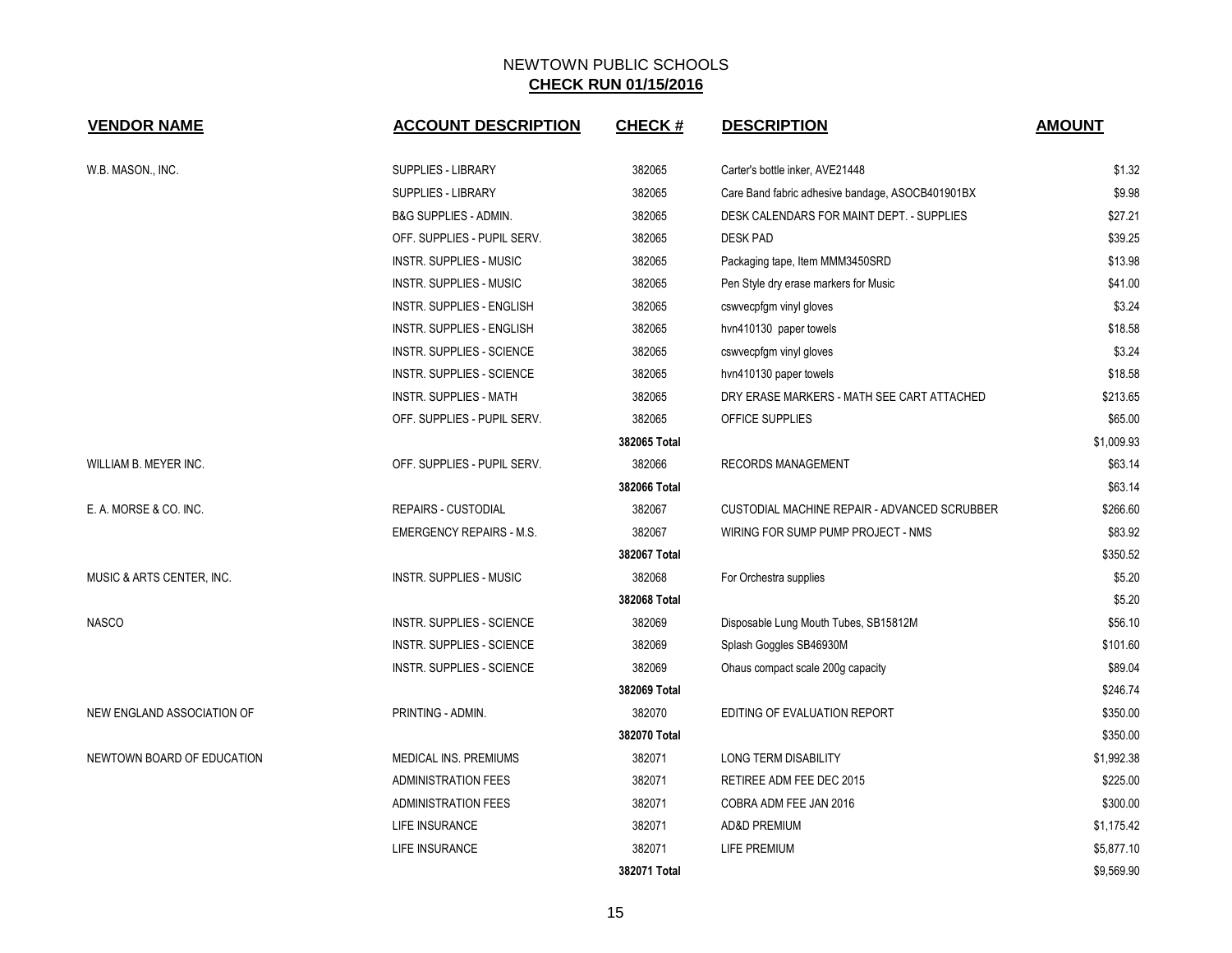| <b>VENDOR NAME</b>         | <b>ACCOUNT DESCRIPTION</b>       | <b>CHECK#</b> | <b>DESCRIPTION</b>                               | <b>AMOUNT</b> |
|----------------------------|----------------------------------|---------------|--------------------------------------------------|---------------|
| W.B. MASON., INC.          | <b>SUPPLIES - LIBRARY</b>        | 382065        | Carter's bottle inker, AVE21448                  | \$1.32        |
|                            | <b>SUPPLIES - LIBRARY</b>        | 382065        | Care Band fabric adhesive bandage, ASOCB401901BX | \$9.98        |
|                            | B&G SUPPLIES - ADMIN.            | 382065        | DESK CALENDARS FOR MAINT DEPT. - SUPPLIES        | \$27.21       |
|                            | OFF. SUPPLIES - PUPIL SERV.      | 382065        | <b>DESK PAD</b>                                  | \$39.25       |
|                            | <b>INSTR. SUPPLIES - MUSIC</b>   | 382065        | Packaging tape, Item MMM3450SRD                  | \$13.98       |
|                            | <b>INSTR. SUPPLIES - MUSIC</b>   | 382065        | Pen Style dry erase markers for Music            | \$41.00       |
|                            | <b>INSTR. SUPPLIES - ENGLISH</b> | 382065        | cswvecpfgm vinyl gloves                          | \$3.24        |
|                            | <b>INSTR. SUPPLIES - ENGLISH</b> | 382065        | hvn410130 paper towels                           | \$18.58       |
|                            | INSTR. SUPPLIES - SCIENCE        | 382065        | cswvecpfgm vinyl gloves                          | \$3.24        |
|                            | INSTR. SUPPLIES - SCIENCE        | 382065        | hvn410130 paper towels                           | \$18.58       |
|                            | <b>INSTR. SUPPLIES - MATH</b>    | 382065        | DRY ERASE MARKERS - MATH SEE CART ATTACHED       | \$213.65      |
|                            | OFF. SUPPLIES - PUPIL SERV.      | 382065        | OFFICE SUPPLIES                                  | \$65.00       |
|                            |                                  | 382065 Total  |                                                  | \$1,009.93    |
| WILLIAM B. MEYER INC.      | OFF. SUPPLIES - PUPIL SERV.      | 382066        | <b>RECORDS MANAGEMENT</b>                        | \$63.14       |
|                            |                                  | 382066 Total  |                                                  | \$63.14       |
| E. A. MORSE & CO. INC.     | <b>REPAIRS - CUSTODIAL</b>       | 382067        | CUSTODIAL MACHINE REPAIR - ADVANCED SCRUBBER     | \$266.60      |
|                            | <b>EMERGENCY REPAIRS - M.S.</b>  | 382067        | WIRING FOR SUMP PUMP PROJECT - NMS               | \$83.92       |
|                            |                                  | 382067 Total  |                                                  | \$350.52      |
| MUSIC & ARTS CENTER, INC.  | INSTR. SUPPLIES - MUSIC          | 382068        | For Orchestra supplies                           | \$5.20        |
|                            |                                  | 382068 Total  |                                                  | \$5.20        |
| <b>NASCO</b>               | INSTR. SUPPLIES - SCIENCE        | 382069        | Disposable Lung Mouth Tubes, SB15812M            | \$56.10       |
|                            | INSTR. SUPPLIES - SCIENCE        | 382069        | Splash Goggles SB46930M                          | \$101.60      |
|                            | <b>INSTR. SUPPLIES - SCIENCE</b> | 382069        | Ohaus compact scale 200g capacity                | \$89.04       |
|                            |                                  | 382069 Total  |                                                  | \$246.74      |
| NEW ENGLAND ASSOCIATION OF | PRINTING - ADMIN.                | 382070        | EDITING OF EVALUATION REPORT                     | \$350.00      |
|                            |                                  | 382070 Total  |                                                  | \$350.00      |
| NEWTOWN BOARD OF EDUCATION | MEDICAL INS. PREMIUMS            | 382071        | LONG TERM DISABILITY                             | \$1,992.38    |
|                            | <b>ADMINISTRATION FEES</b>       | 382071        | RETIREE ADM FEE DEC 2015                         | \$225.00      |
|                            | <b>ADMINISTRATION FEES</b>       | 382071        | COBRA ADM FEE JAN 2016                           | \$300.00      |
|                            | LIFE INSURANCE                   | 382071        | AD&D PREMIUM                                     | \$1,175.42    |
|                            | LIFE INSURANCE                   | 382071        | LIFE PREMIUM                                     | \$5,877.10    |
|                            |                                  | 382071 Total  |                                                  | \$9,569.90    |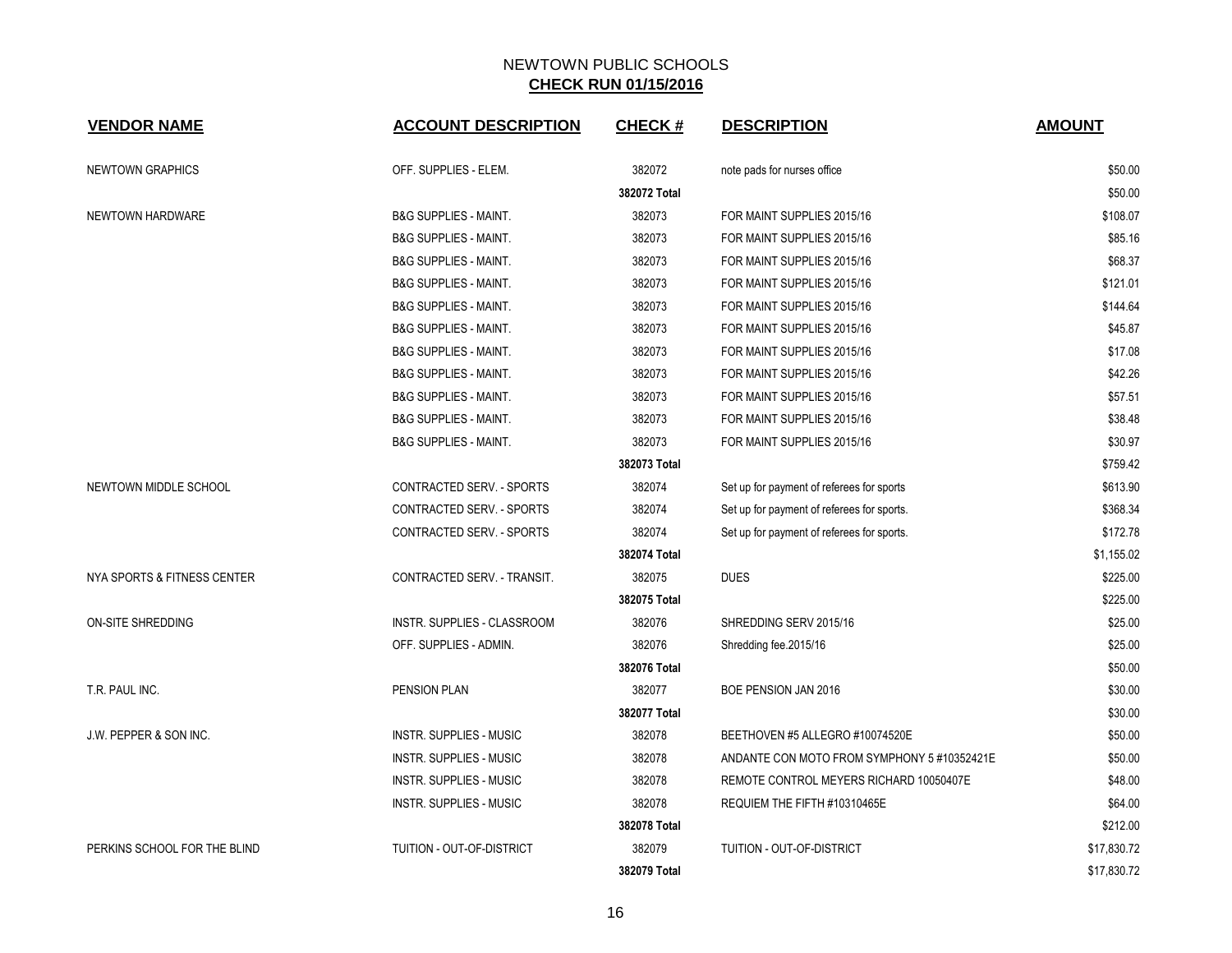| <b>VENDOR NAME</b>           | <b>ACCOUNT DESCRIPTION</b>         | <b>CHECK#</b> | <b>DESCRIPTION</b>                          | <b>AMOUNT</b> |
|------------------------------|------------------------------------|---------------|---------------------------------------------|---------------|
| <b>NEWTOWN GRAPHICS</b>      | OFF. SUPPLIES - ELEM.              | 382072        | note pads for nurses office                 | \$50.00       |
|                              |                                    | 382072 Total  |                                             | \$50.00       |
| NEWTOWN HARDWARE             | <b>B&amp;G SUPPLIES - MAINT.</b>   | 382073        | FOR MAINT SUPPLIES 2015/16                  | \$108.07      |
|                              | <b>B&amp;G SUPPLIES - MAINT.</b>   | 382073        | FOR MAINT SUPPLIES 2015/16                  | \$85.16       |
|                              | <b>B&amp;G SUPPLIES - MAINT.</b>   | 382073        | FOR MAINT SUPPLIES 2015/16                  | \$68.37       |
|                              | <b>B&amp;G SUPPLIES - MAINT.</b>   | 382073        | FOR MAINT SUPPLIES 2015/16                  | \$121.01      |
|                              | <b>B&amp;G SUPPLIES - MAINT.</b>   | 382073        | FOR MAINT SUPPLIES 2015/16                  | \$144.64      |
|                              | <b>B&amp;G SUPPLIES - MAINT.</b>   | 382073        | FOR MAINT SUPPLIES 2015/16                  | \$45.87       |
|                              | <b>B&amp;G SUPPLIES - MAINT.</b>   | 382073        | FOR MAINT SUPPLIES 2015/16                  | \$17.08       |
|                              | <b>B&amp;G SUPPLIES - MAINT.</b>   | 382073        | FOR MAINT SUPPLIES 2015/16                  | \$42.26       |
|                              | <b>B&amp;G SUPPLIES - MAINT.</b>   | 382073        | FOR MAINT SUPPLIES 2015/16                  | \$57.51       |
|                              | <b>B&amp;G SUPPLIES - MAINT.</b>   | 382073        | FOR MAINT SUPPLIES 2015/16                  | \$38.48       |
|                              | <b>B&amp;G SUPPLIES - MAINT.</b>   | 382073        | FOR MAINT SUPPLIES 2015/16                  | \$30.97       |
|                              |                                    | 382073 Total  |                                             | \$759.42      |
| NEWTOWN MIDDLE SCHOOL        | CONTRACTED SERV. - SPORTS          | 382074        | Set up for payment of referees for sports   | \$613.90      |
|                              | CONTRACTED SERV. - SPORTS          | 382074        | Set up for payment of referees for sports.  | \$368.34      |
|                              | CONTRACTED SERV. - SPORTS          | 382074        | Set up for payment of referees for sports.  | \$172.78      |
|                              |                                    | 382074 Total  |                                             | \$1,155.02    |
| NYA SPORTS & FITNESS CENTER  | CONTRACTED SERV. - TRANSIT.        | 382075        | <b>DUES</b>                                 | \$225.00      |
|                              |                                    | 382075 Total  |                                             | \$225.00      |
| <b>ON-SITE SHREDDING</b>     | <b>INSTR. SUPPLIES - CLASSROOM</b> | 382076        | SHREDDING SERV 2015/16                      | \$25.00       |
|                              | OFF. SUPPLIES - ADMIN.             | 382076        | Shredding fee.2015/16                       | \$25.00       |
|                              |                                    | 382076 Total  |                                             | \$50.00       |
| T.R. PAUL INC.               | PENSION PLAN                       | 382077        | BOE PENSION JAN 2016                        | \$30.00       |
|                              |                                    | 382077 Total  |                                             | \$30.00       |
| J.W. PEPPER & SON INC.       | <b>INSTR. SUPPLIES - MUSIC</b>     | 382078        | BEETHOVEN #5 ALLEGRO #10074520E             | \$50.00       |
|                              | <b>INSTR. SUPPLIES - MUSIC</b>     | 382078        | ANDANTE CON MOTO FROM SYMPHONY 5 #10352421E | \$50.00       |
|                              | INSTR. SUPPLIES - MUSIC            | 382078        | REMOTE CONTROL MEYERS RICHARD 10050407E     | \$48.00       |
|                              | <b>INSTR. SUPPLIES - MUSIC</b>     | 382078        | REQUIEM THE FIFTH #10310465E                | \$64.00       |
|                              |                                    | 382078 Total  |                                             | \$212.00      |
| PERKINS SCHOOL FOR THE BLIND | TUITION - OUT-OF-DISTRICT          | 382079        | TUITION - OUT-OF-DISTRICT                   | \$17,830.72   |
|                              |                                    | 382079 Total  |                                             | \$17,830.72   |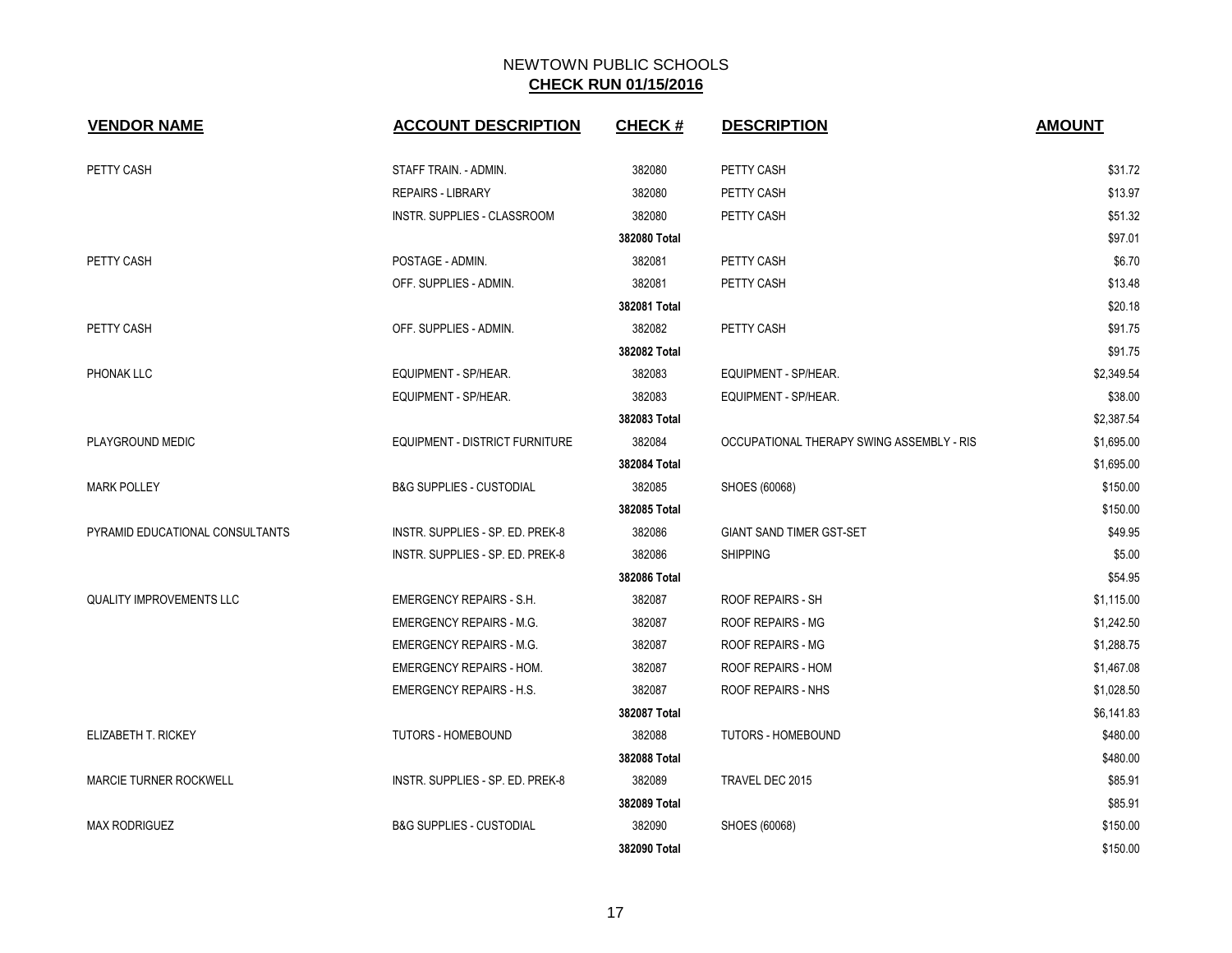| <b>VENDOR NAME</b>              | <b>ACCOUNT DESCRIPTION</b>          | <b>CHECK#</b> | <b>DESCRIPTION</b>                        | <b>AMOUNT</b> |
|---------------------------------|-------------------------------------|---------------|-------------------------------------------|---------------|
| PETTY CASH                      | STAFF TRAIN. - ADMIN.               | 382080        | PETTY CASH                                | \$31.72       |
|                                 | REPAIRS - LIBRARY                   | 382080        | PETTY CASH                                | \$13.97       |
|                                 | INSTR. SUPPLIES - CLASSROOM         | 382080        | PETTY CASH                                | \$51.32       |
|                                 |                                     | 382080 Total  |                                           | \$97.01       |
| PETTY CASH                      | POSTAGE - ADMIN.                    | 382081        | PETTY CASH                                | \$6.70        |
|                                 | OFF. SUPPLIES - ADMIN.              | 382081        | PETTY CASH                                | \$13.48       |
|                                 |                                     | 382081 Total  |                                           | \$20.18       |
| PETTY CASH                      | OFF. SUPPLIES - ADMIN.              | 382082        | PETTY CASH                                | \$91.75       |
|                                 |                                     | 382082 Total  |                                           | \$91.75       |
| PHONAK LLC                      | <b>EQUIPMENT - SP/HEAR.</b>         | 382083        | EQUIPMENT - SP/HEAR.                      | \$2,349.54    |
|                                 | <b>EQUIPMENT - SP/HEAR.</b>         | 382083        | EQUIPMENT - SP/HEAR.                      | \$38.00       |
|                                 |                                     | 382083 Total  |                                           | \$2,387.54    |
| PLAYGROUND MEDIC                | EQUIPMENT - DISTRICT FURNITURE      | 382084        | OCCUPATIONAL THERAPY SWING ASSEMBLY - RIS | \$1,695.00    |
|                                 |                                     | 382084 Total  |                                           | \$1,695.00    |
| <b>MARK POLLEY</b>              | <b>B&amp;G SUPPLIES - CUSTODIAL</b> | 382085        | SHOES (60068)                             | \$150.00      |
|                                 |                                     | 382085 Total  |                                           | \$150.00      |
| PYRAMID EDUCATIONAL CONSULTANTS | INSTR. SUPPLIES - SP. ED. PREK-8    | 382086        | <b>GIANT SAND TIMER GST-SET</b>           | \$49.95       |
|                                 | INSTR. SUPPLIES - SP. ED. PREK-8    | 382086        | <b>SHIPPING</b>                           | \$5.00        |
|                                 |                                     | 382086 Total  |                                           | \$54.95       |
| <b>QUALITY IMPROVEMENTS LLC</b> | <b>EMERGENCY REPAIRS - S.H.</b>     | 382087        | ROOF REPAIRS - SH                         | \$1,115.00    |
|                                 | <b>EMERGENCY REPAIRS - M.G.</b>     | 382087        | ROOF REPAIRS - MG                         | \$1,242.50    |
|                                 | <b>EMERGENCY REPAIRS - M.G.</b>     | 382087        | <b>ROOF REPAIRS - MG</b>                  | \$1,288.75    |
|                                 | <b>EMERGENCY REPAIRS - HOM.</b>     | 382087        | ROOF REPAIRS - HOM                        | \$1,467.08    |
|                                 | <b>EMERGENCY REPAIRS - H.S.</b>     | 382087        | ROOF REPAIRS - NHS                        | \$1,028.50    |
|                                 |                                     | 382087 Total  |                                           | \$6,141.83    |
| ELIZABETH T. RICKEY             | TUTORS - HOMEBOUND                  | 382088        | TUTORS - HOMEBOUND                        | \$480.00      |
|                                 |                                     | 382088 Total  |                                           | \$480.00      |
| <b>MARCIE TURNER ROCKWELL</b>   | INSTR. SUPPLIES - SP. ED. PREK-8    | 382089        | TRAVEL DEC 2015                           | \$85.91       |
|                                 |                                     | 382089 Total  |                                           | \$85.91       |
| <b>MAX RODRIGUEZ</b>            | <b>B&amp;G SUPPLIES - CUSTODIAL</b> | 382090        | SHOES (60068)                             | \$150.00      |
|                                 |                                     | 382090 Total  |                                           | \$150.00      |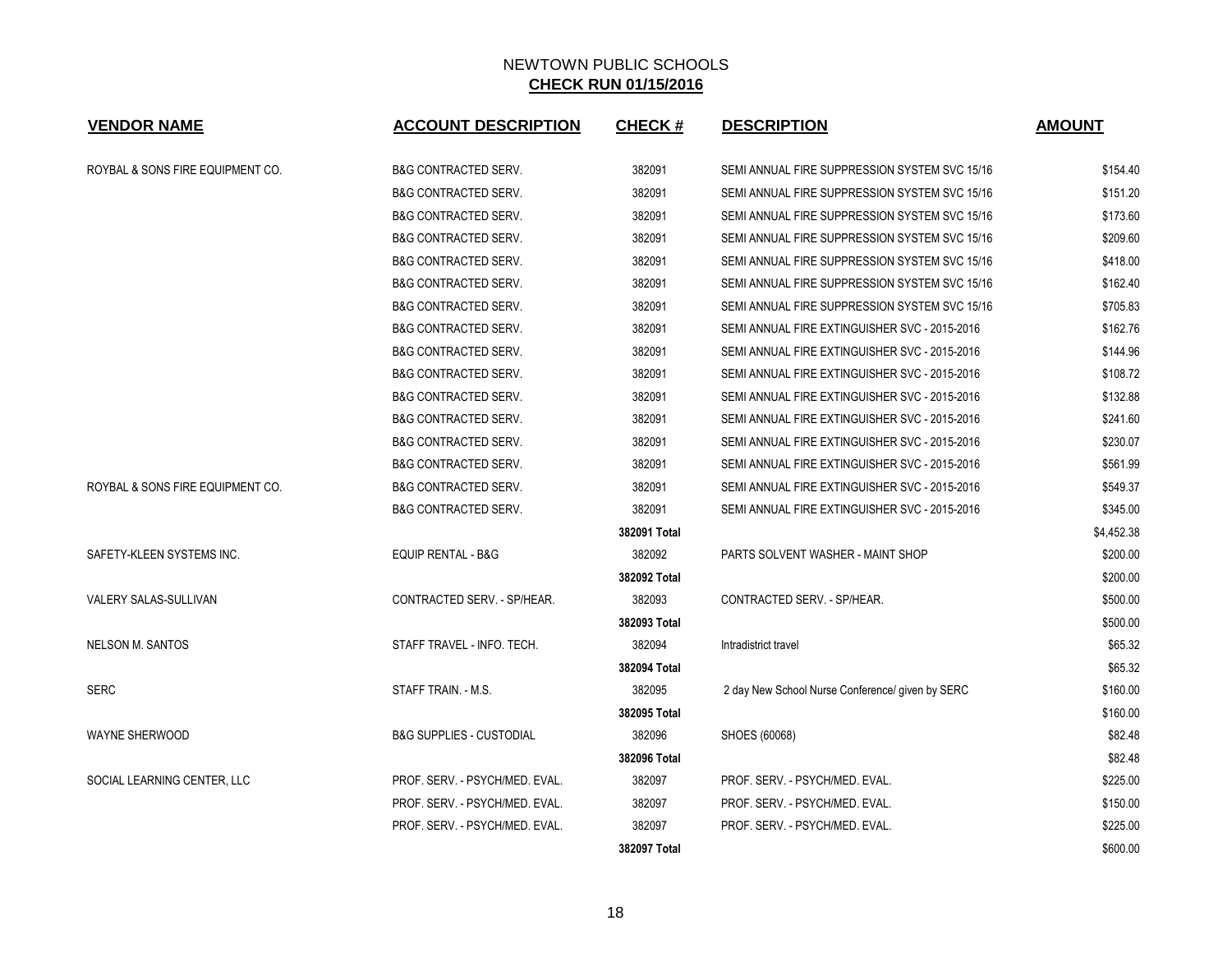| <b>VENDOR NAME</b>               | <b>ACCOUNT DESCRIPTION</b>          | <b>CHECK#</b> | <b>DESCRIPTION</b>                               | <b>AMOUNT</b> |
|----------------------------------|-------------------------------------|---------------|--------------------------------------------------|---------------|
| ROYBAL & SONS FIRE EQUIPMENT CO. | <b>B&amp;G CONTRACTED SERV.</b>     | 382091        | SEMI ANNUAL FIRE SUPPRESSION SYSTEM SVC 15/16    | \$154.40      |
|                                  | <b>B&amp;G CONTRACTED SERV.</b>     | 382091        | SEMI ANNUAL FIRE SUPPRESSION SYSTEM SVC 15/16    | \$151.20      |
|                                  | <b>B&amp;G CONTRACTED SERV.</b>     | 382091        | SEMI ANNUAL FIRE SUPPRESSION SYSTEM SVC 15/16    | \$173.60      |
|                                  | <b>B&amp;G CONTRACTED SERV.</b>     | 382091        | SEMI ANNUAL FIRE SUPPRESSION SYSTEM SVC 15/16    | \$209.60      |
|                                  | <b>B&amp;G CONTRACTED SERV.</b>     | 382091        | SEMI ANNUAL FIRE SUPPRESSION SYSTEM SVC 15/16    | \$418.00      |
|                                  | <b>B&amp;G CONTRACTED SERV.</b>     | 382091        | SEMI ANNUAL FIRE SUPPRESSION SYSTEM SVC 15/16    | \$162.40      |
|                                  | <b>B&amp;G CONTRACTED SERV.</b>     | 382091        | SEMI ANNUAL FIRE SUPPRESSION SYSTEM SVC 15/16    | \$705.83      |
|                                  | <b>B&amp;G CONTRACTED SERV.</b>     | 382091        | SEMI ANNUAL FIRE EXTINGUISHER SVC - 2015-2016    | \$162.76      |
|                                  | <b>B&amp;G CONTRACTED SERV.</b>     | 382091        | SEMI ANNUAL FIRE EXTINGUISHER SVC - 2015-2016    | \$144.96      |
|                                  | <b>B&amp;G CONTRACTED SERV.</b>     | 382091        | SEMI ANNUAL FIRE EXTINGUISHER SVC - 2015-2016    | \$108.72      |
|                                  | <b>B&amp;G CONTRACTED SERV.</b>     | 382091        | SEMI ANNUAL FIRE EXTINGUISHER SVC - 2015-2016    | \$132.88      |
|                                  | B&G CONTRACTED SERV.                | 382091        | SEMI ANNUAL FIRE EXTINGUISHER SVC - 2015-2016    | \$241.60      |
|                                  | <b>B&amp;G CONTRACTED SERV.</b>     | 382091        | SEMI ANNUAL FIRE EXTINGUISHER SVC - 2015-2016    | \$230.07      |
|                                  | <b>B&amp;G CONTRACTED SERV.</b>     | 382091        | SEMI ANNUAL FIRE EXTINGUISHER SVC - 2015-2016    | \$561.99      |
| ROYBAL & SONS FIRE EQUIPMENT CO. | <b>B&amp;G CONTRACTED SERV.</b>     | 382091        | SEMI ANNUAL FIRE EXTINGUISHER SVC - 2015-2016    | \$549.37      |
|                                  | <b>B&amp;G CONTRACTED SERV.</b>     | 382091        | SEMI ANNUAL FIRE EXTINGUISHER SVC - 2015-2016    | \$345.00      |
|                                  |                                     | 382091 Total  |                                                  | \$4,452.38    |
| SAFETY-KLEEN SYSTEMS INC.        | EQUIP RENTAL - B&G                  | 382092        | PARTS SOLVENT WASHER - MAINT SHOP                | \$200.00      |
|                                  |                                     | 382092 Total  |                                                  | \$200.00      |
| VALERY SALAS-SULLIVAN            | CONTRACTED SERV. - SP/HEAR.         | 382093        | CONTRACTED SERV. - SP/HEAR.                      | \$500.00      |
|                                  |                                     | 382093 Total  |                                                  | \$500.00      |
| <b>NELSON M. SANTOS</b>          | STAFF TRAVEL - INFO. TECH.          | 382094        | Intradistrict travel                             | \$65.32       |
|                                  |                                     | 382094 Total  |                                                  | \$65.32       |
| <b>SERC</b>                      | STAFF TRAIN. - M.S.                 | 382095        | 2 day New School Nurse Conference/ given by SERC | \$160.00      |
|                                  |                                     | 382095 Total  |                                                  | \$160.00      |
| <b>WAYNE SHERWOOD</b>            | <b>B&amp;G SUPPLIES - CUSTODIAL</b> | 382096        | SHOES (60068)                                    | \$82.48       |
|                                  |                                     | 382096 Total  |                                                  | \$82.48       |
| SOCIAL LEARNING CENTER, LLC      | PROF. SERV. - PSYCH/MED. EVAL.      | 382097        | PROF. SERV. - PSYCH/MED. EVAL.                   | \$225.00      |
|                                  | PROF. SERV. - PSYCH/MED. EVAL.      | 382097        | PROF. SERV. - PSYCH/MED. EVAL.                   | \$150.00      |
|                                  | PROF. SERV. - PSYCH/MED. EVAL.      | 382097        | PROF. SERV. - PSYCH/MED. EVAL.                   | \$225.00      |
|                                  |                                     | 382097 Total  |                                                  | \$600.00      |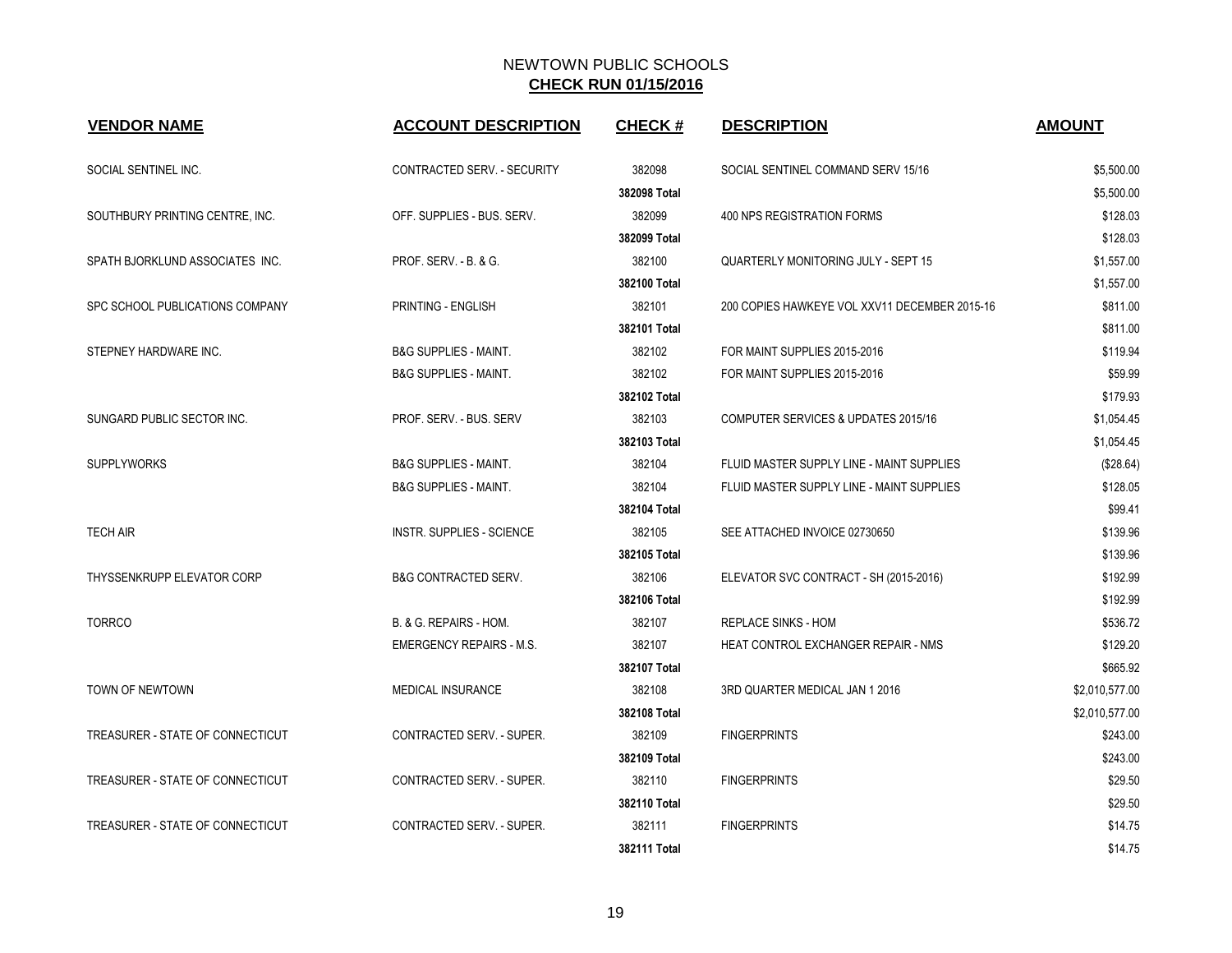| <b>VENDOR NAME</b>                | <b>ACCOUNT DESCRIPTION</b>       | <b>CHECK#</b> | <b>DESCRIPTION</b>                            | <b>AMOUNT</b>  |
|-----------------------------------|----------------------------------|---------------|-----------------------------------------------|----------------|
| SOCIAL SENTINEL INC.              | CONTRACTED SERV. - SECURITY      | 382098        | SOCIAL SENTINEL COMMAND SERV 15/16            | \$5,500.00     |
|                                   |                                  | 382098 Total  |                                               | \$5,500.00     |
| SOUTHBURY PRINTING CENTRE, INC.   | OFF. SUPPLIES - BUS. SERV.       | 382099        | 400 NPS REGISTRATION FORMS                    | \$128.03       |
|                                   |                                  | 382099 Total  |                                               | \$128.03       |
| SPATH BJORKLUND ASSOCIATES INC.   | PROF. SERV. - B. & G.            | 382100        | <b>QUARTERLY MONITORING JULY - SEPT 15</b>    | \$1,557.00     |
|                                   |                                  | 382100 Total  |                                               | \$1,557.00     |
| SPC SCHOOL PUBLICATIONS COMPANY   | PRINTING - ENGLISH               | 382101        | 200 COPIES HAWKEYE VOL XXV11 DECEMBER 2015-16 | \$811.00       |
|                                   |                                  | 382101 Total  |                                               | \$811.00       |
| STEPNEY HARDWARE INC.             | <b>B&amp;G SUPPLIES - MAINT.</b> | 382102        | FOR MAINT SUPPLIES 2015-2016                  | \$119.94       |
|                                   | <b>B&amp;G SUPPLIES - MAINT.</b> | 382102        | FOR MAINT SUPPLIES 2015-2016                  | \$59.99        |
|                                   |                                  | 382102 Total  |                                               | \$179.93       |
| SUNGARD PUBLIC SECTOR INC.        | PROF. SERV. - BUS. SERV          | 382103        | COMPUTER SERVICES & UPDATES 2015/16           | \$1,054.45     |
|                                   |                                  | 382103 Total  |                                               | \$1,054.45     |
| <b>SUPPLYWORKS</b>                | B&G SUPPLIES - MAINT.            | 382104        | FLUID MASTER SUPPLY LINE - MAINT SUPPLIES     | (\$28.64)      |
|                                   | <b>B&amp;G SUPPLIES - MAINT.</b> | 382104        | FLUID MASTER SUPPLY LINE - MAINT SUPPLIES     | \$128.05       |
|                                   |                                  | 382104 Total  |                                               | \$99.41        |
| <b>TECH AIR</b>                   | <b>INSTR. SUPPLIES - SCIENCE</b> | 382105        | SEE ATTACHED INVOICE 02730650                 | \$139.96       |
|                                   |                                  | 382105 Total  |                                               | \$139.96       |
| <b>THYSSENKRUPP ELEVATOR CORP</b> | <b>B&amp;G CONTRACTED SERV.</b>  | 382106        | ELEVATOR SVC CONTRACT - SH (2015-2016)        | \$192.99       |
|                                   |                                  | 382106 Total  |                                               | \$192.99       |
| <b>TORRCO</b>                     | B. & G. REPAIRS - HOM.           | 382107        | <b>REPLACE SINKS - HOM</b>                    | \$536.72       |
|                                   | <b>EMERGENCY REPAIRS - M.S.</b>  | 382107        | HEAT CONTROL EXCHANGER REPAIR - NMS           | \$129.20       |
|                                   |                                  | 382107 Total  |                                               | \$665.92       |
| TOWN OF NEWTOWN                   | <b>MEDICAL INSURANCE</b>         | 382108        | 3RD QUARTER MEDICAL JAN 1 2016                | \$2,010,577.00 |
|                                   |                                  | 382108 Total  |                                               | \$2,010,577.00 |
| TREASURER - STATE OF CONNECTICUT  | <b>CONTRACTED SERV. - SUPER.</b> | 382109        | <b>FINGERPRINTS</b>                           | \$243.00       |
|                                   |                                  | 382109 Total  |                                               | \$243.00       |
| TREASURER - STATE OF CONNECTICUT  | CONTRACTED SERV. - SUPER.        | 382110        | <b>FINGERPRINTS</b>                           | \$29.50        |
|                                   |                                  | 382110 Total  |                                               | \$29.50        |
| TREASURER - STATE OF CONNECTICUT  | <b>CONTRACTED SERV. - SUPER.</b> | 382111        | <b>FINGERPRINTS</b>                           | \$14.75        |
|                                   |                                  | 382111 Total  |                                               | \$14.75        |